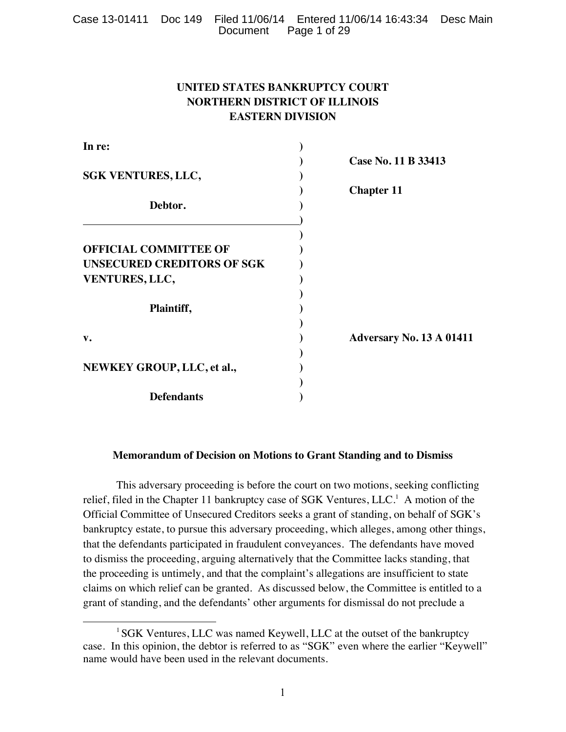|  |                       | Case 13-01411 Doc 149 Filed 11/06/14 Entered 11/06/14 16:43:34 Desc Main |  |
|--|-----------------------|--------------------------------------------------------------------------|--|
|  | Document Page 1 of 29 |                                                                          |  |

# **UNITED STATES BANKRUPTCY COURT NORTHERN DISTRICT OF ILLINOIS EASTERN DIVISION**

| In re:                            |                                 |
|-----------------------------------|---------------------------------|
|                                   | Case No. 11 B 33413             |
| <b>SGK VENTURES, LLC,</b>         |                                 |
|                                   | <b>Chapter 11</b>               |
| Debtor.                           |                                 |
|                                   |                                 |
|                                   |                                 |
| <b>OFFICIAL COMMITTEE OF</b>      |                                 |
| <b>UNSECURED CREDITORS OF SGK</b> |                                 |
| VENTURES, LLC,                    |                                 |
|                                   |                                 |
| Plaintiff,                        |                                 |
|                                   |                                 |
| $\mathbf{v}$ .                    | <b>Adversary No. 13 A 01411</b> |
|                                   |                                 |
| NEWKEY GROUP, LLC, et al.,        |                                 |
|                                   |                                 |
| <b>Defendants</b>                 |                                 |

## **Memorandum of Decision on Motions to Grant Standing and to Dismiss**

This adversary proceeding is before the court on two motions, seeking conflicting relief, filed in the Chapter 11 bankruptcy case of SGK Ventures,  $LLC<sup>1</sup>$  A motion of the Official Committee of Unsecured Creditors seeks a grant of standing, on behalf of SGK's bankruptcy estate, to pursue this adversary proceeding, which alleges, among other things, that the defendants participated in fraudulent conveyances. The defendants have moved to dismiss the proceeding, arguing alternatively that the Committee lacks standing, that the proceeding is untimely, and that the complaint's allegations are insufficient to state claims on which relief can be granted. As discussed below, the Committee is entitled to a grant of standing, and the defendants' other arguments for dismissal do not preclude a

 

<sup>&</sup>lt;sup>1</sup> SGK Ventures, LLC was named Keywell, LLC at the outset of the bankruptcy case. In this opinion, the debtor is referred to as "SGK" even where the earlier "Keywell" name would have been used in the relevant documents.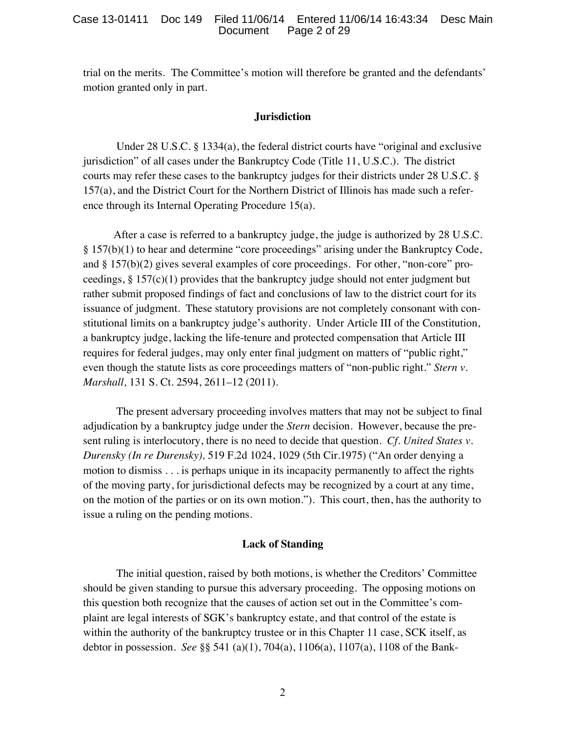trial on the merits. The Committee's motion will therefore be granted and the defendants' motion granted only in part.

### **Jurisdiction**

Under 28 U.S.C. § 1334(a), the federal district courts have "original and exclusive jurisdiction" of all cases under the Bankruptcy Code (Title 11, U.S.C.). The district courts may refer these cases to the bankruptcy judges for their districts under 28 U.S.C. § 157(a), and the District Court for the Northern District of Illinois has made such a reference through its Internal Operating Procedure 15(a).

After a case is referred to a bankruptcy judge, the judge is authorized by 28 U.S.C. § 157(b)(1) to hear and determine "core proceedings" arising under the Bankruptcy Code, and § 157(b)(2) gives several examples of core proceedings. For other, "non-core" proceedings,  $\S 157(c)(1)$  provides that the bankruptcy judge should not enter judgment but rather submit proposed findings of fact and conclusions of law to the district court for its issuance of judgment. These statutory provisions are not completely consonant with constitutional limits on a bankruptcy judge's authority. Under Article III of the Constitution, a bankruptcy judge, lacking the life-tenure and protected compensation that Article III requires for federal judges, may only enter final judgment on matters of "public right," even though the statute lists as core proceedings matters of "non-public right." *Stern v. Marshall,* 131 S. Ct. 2594, 2611–12 (2011).

The present adversary proceeding involves matters that may not be subject to final adjudication by a bankruptcy judge under the *Stern* decision. However, because the present ruling is interlocutory, there is no need to decide that question. *Cf. United States v. Durensky (In re Durensky),* 519 F.2d 1024, 1029 (5th Cir.1975) ("An order denying a motion to dismiss . . . is perhaps unique in its incapacity permanently to affect the rights of the moving party, for jurisdictional defects may be recognized by a court at any time, on the motion of the parties or on its own motion."). This court, then, has the authority to issue a ruling on the pending motions.

### **Lack of Standing**

The initial question, raised by both motions, is whether the Creditors' Committee should be given standing to pursue this adversary proceeding. The opposing motions on this question both recognize that the causes of action set out in the Committee's complaint are legal interests of SGK's bankruptcy estate, and that control of the estate is within the authority of the bankruptcy trustee or in this Chapter 11 case, SCK itself, as debtor in possession. *See* §§ 541 (a)(1), 704(a), 1106(a), 1107(a), 1108 of the Bank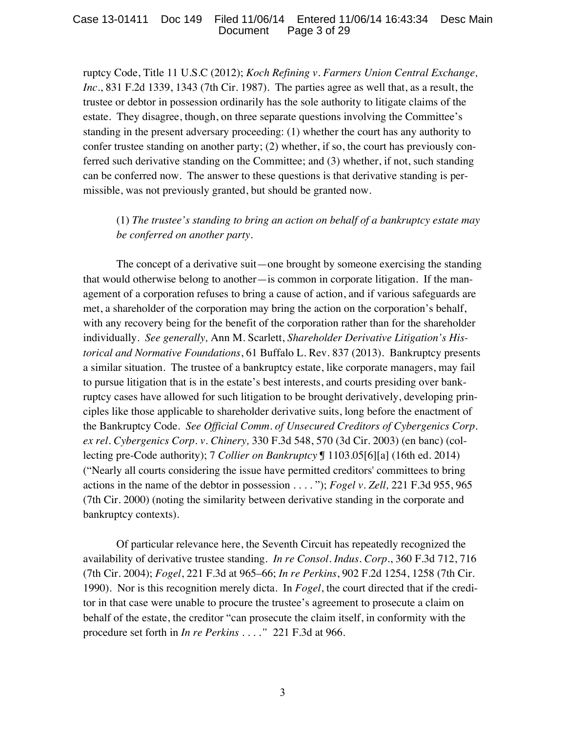ruptcy Code, Title 11 U.S.C (2012); *Koch Refining v. Farmers Union Central Exchange, Inc.*, 831 F.2d 1339, 1343 (7th Cir. 1987). The parties agree as well that, as a result, the trustee or debtor in possession ordinarily has the sole authority to litigate claims of the estate. They disagree, though, on three separate questions involving the Committee's standing in the present adversary proceeding: (1) whether the court has any authority to confer trustee standing on another party; (2) whether, if so, the court has previously conferred such derivative standing on the Committee; and (3) whether, if not, such standing can be conferred now. The answer to these questions is that derivative standing is permissible, was not previously granted, but should be granted now.

(1) *The trustee's standing to bring an action on behalf of a bankruptcy estate may be conferred on another party.*

The concept of a derivative suit—one brought by someone exercising the standing that would otherwise belong to another—is common in corporate litigation. If the management of a corporation refuses to bring a cause of action, and if various safeguards are met, a shareholder of the corporation may bring the action on the corporation's behalf, with any recovery being for the benefit of the corporation rather than for the shareholder individually. *See generally,* Ann M. Scarlett, *Shareholder Derivative Litigation's Historical and Normative Foundations*, 61 Buffalo L. Rev. 837 (2013). Bankruptcy presents a similar situation. The trustee of a bankruptcy estate, like corporate managers, may fail to pursue litigation that is in the estate's best interests, and courts presiding over bankruptcy cases have allowed for such litigation to be brought derivatively, developing principles like those applicable to shareholder derivative suits, long before the enactment of the Bankruptcy Code. *See Official Comm. of Unsecured Creditors of Cybergenics Corp. ex rel. Cybergenics Corp. v. Chinery,* 330 F.3d 548, 570 (3d Cir. 2003) (en banc) (collecting pre-Code authority); 7 *Collier on Bankruptcy* ¶ 1103.05[6][a] (16th ed. 2014) ("Nearly all courts considering the issue have permitted creditors' committees to bring actions in the name of the debtor in possession . . . . "); *Fogel v. Zell,* 221 F.3d 955, 965 (7th Cir. 2000) (noting the similarity between derivative standing in the corporate and bankruptcy contexts).

Of particular relevance here, the Seventh Circuit has repeatedly recognized the availability of derivative trustee standing. *In re Consol. Indus. Corp.*, 360 F.3d 712, 716 (7th Cir. 2004); *Fogel*, 221 F.3d at 965–66; *In re Perkins*, 902 F.2d 1254, 1258 (7th Cir. 1990). Nor is this recognition merely dicta. In *Fogel*, the court directed that if the creditor in that case were unable to procure the trustee's agreement to prosecute a claim on behalf of the estate, the creditor "can prosecute the claim itself, in conformity with the procedure set forth in *In re Perkins . . . ."* 221 F.3d at 966.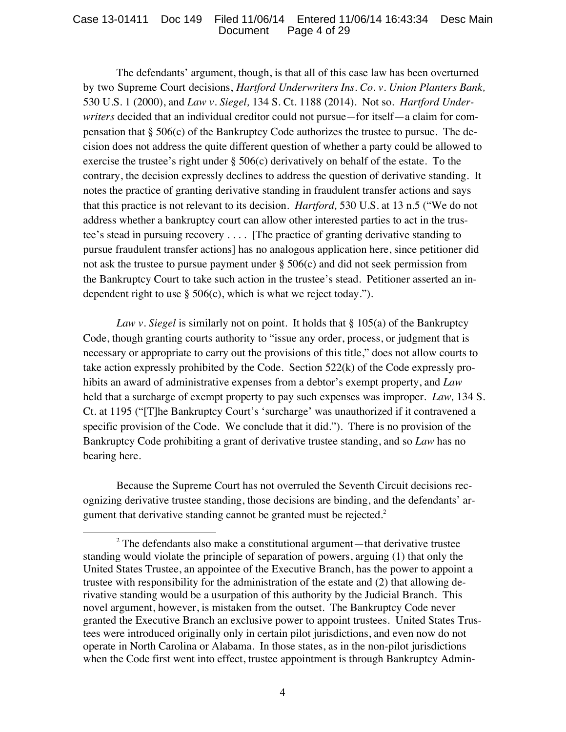The defendants' argument, though, is that all of this case law has been overturned by two Supreme Court decisions, *Hartford Underwriters Ins. Co. v. Union Planters Bank,*  530 U.S. 1 (2000), and *Law v. Siegel,* 134 S. Ct. 1188 (2014). Not so. *Hartford Underwriters* decided that an individual creditor could not pursue*—*for itself—a claim for compensation that § 506(c) of the Bankruptcy Code authorizes the trustee to pursue. The decision does not address the quite different question of whether a party could be allowed to exercise the trustee's right under  $\S 506(c)$  derivatively on behalf of the estate. To the contrary, the decision expressly declines to address the question of derivative standing. It notes the practice of granting derivative standing in fraudulent transfer actions and says that this practice is not relevant to its decision. *Hartford,* 530 U.S. at 13 n.5 ("We do not address whether a bankruptcy court can allow other interested parties to act in the trustee's stead in pursuing recovery . . . . [The practice of granting derivative standing to pursue fraudulent transfer actions] has no analogous application here, since petitioner did not ask the trustee to pursue payment under  $\S 506(c)$  and did not seek permission from the Bankruptcy Court to take such action in the trustee's stead. Petitioner asserted an independent right to use  $\S 506(c)$ , which is what we reject today.").

*Law v. Siegel* is similarly not on point. It holds that § 105(a) of the Bankruptcy Code, though granting courts authority to "issue any order, process, or judgment that is necessary or appropriate to carry out the provisions of this title," does not allow courts to take action expressly prohibited by the Code. Section 522(k) of the Code expressly prohibits an award of administrative expenses from a debtor's exempt property, and *Law* held that a surcharge of exempt property to pay such expenses was improper. *Law,* 134 S. Ct. at 1195 ("[T]he Bankruptcy Court's 'surcharge' was unauthorized if it contravened a specific provision of the Code. We conclude that it did."). There is no provision of the Bankruptcy Code prohibiting a grant of derivative trustee standing, and so *Law* has no bearing here.

Because the Supreme Court has not overruled the Seventh Circuit decisions recognizing derivative trustee standing, those decisions are binding, and the defendants' argument that derivative standing cannot be granted must be rejected.<sup>2</sup>

  $2$  The defendants also make a constitutional argument—that derivative trustee standing would violate the principle of separation of powers, arguing (1) that only the United States Trustee, an appointee of the Executive Branch, has the power to appoint a trustee with responsibility for the administration of the estate and (2) that allowing derivative standing would be a usurpation of this authority by the Judicial Branch. This novel argument, however, is mistaken from the outset. The Bankruptcy Code never granted the Executive Branch an exclusive power to appoint trustees. United States Trustees were introduced originally only in certain pilot jurisdictions, and even now do not operate in North Carolina or Alabama. In those states, as in the non-pilot jurisdictions when the Code first went into effect, trustee appointment is through Bankruptcy Admin-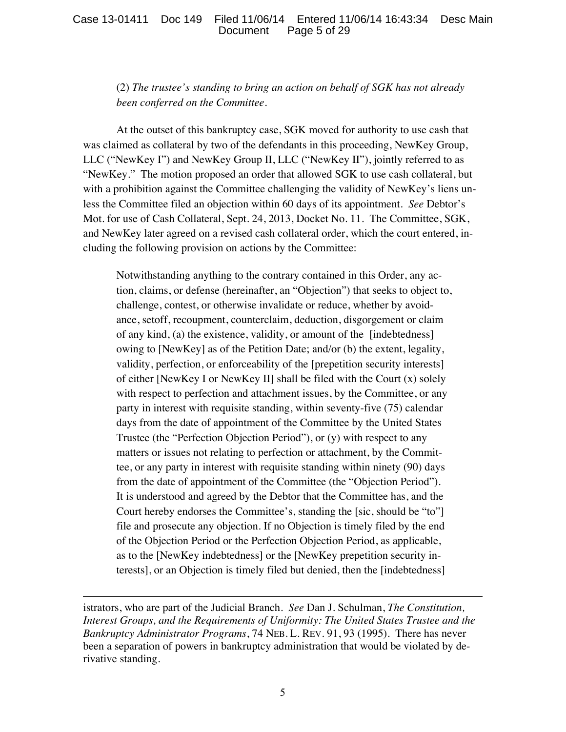### Case 13-01411 Doc 149 Filed 11/06/14 Entered 11/06/14 16:43:34 Desc Main Document Page 5 of 29

## (2) *The trustee's standing to bring an action on behalf of SGK has not already been conferred on the Committee.*

At the outset of this bankruptcy case, SGK moved for authority to use cash that was claimed as collateral by two of the defendants in this proceeding, NewKey Group, LLC ("NewKey I") and NewKey Group II, LLC ("NewKey II"), jointly referred to as "NewKey." The motion proposed an order that allowed SGK to use cash collateral, but with a prohibition against the Committee challenging the validity of NewKey's liens unless the Committee filed an objection within 60 days of its appointment. *See* Debtor's Mot. for use of Cash Collateral, Sept. 24, 2013, Docket No. 11. The Committee, SGK, and NewKey later agreed on a revised cash collateral order, which the court entered, including the following provision on actions by the Committee:

Notwithstanding anything to the contrary contained in this Order, any action, claims, or defense (hereinafter, an "Objection") that seeks to object to, challenge, contest, or otherwise invalidate or reduce, whether by avoidance, setoff, recoupment, counterclaim, deduction, disgorgement or claim of any kind, (a) the existence, validity, or amount of the [indebtedness] owing to [NewKey] as of the Petition Date; and/or (b) the extent, legality, validity, perfection, or enforceability of the [prepetition security interests] of either [NewKey I or NewKey II] shall be filed with the Court (x) solely with respect to perfection and attachment issues, by the Committee, or any party in interest with requisite standing, within seventy-five (75) calendar days from the date of appointment of the Committee by the United States Trustee (the "Perfection Objection Period"), or (y) with respect to any matters or issues not relating to perfection or attachment, by the Committee, or any party in interest with requisite standing within ninety (90) days from the date of appointment of the Committee (the "Objection Period"). It is understood and agreed by the Debtor that the Committee has, and the Court hereby endorses the Committee's, standing the [sic, should be "to"] file and prosecute any objection. If no Objection is timely filed by the end of the Objection Period or the Perfection Objection Period, as applicable, as to the [NewKey indebtedness] or the [NewKey prepetition security interests], or an Objection is timely filed but denied, then the [indebtedness]

istrators, who are part of the Judicial Branch. *See* Dan J. Schulman, *The Constitution, Interest Groups, and the Requirements of Uniformity: The United States Trustee and the Bankruptcy Administrator Programs*, 74 NEB. L. REV. 91, 93 (1995). There has never been a separation of powers in bankruptcy administration that would be violated by derivative standing.

<u> 1989 - Andrea San Andrea San Andrea San Andrea San Andrea San Andrea San Andrea San Andrea San Andrea San An</u>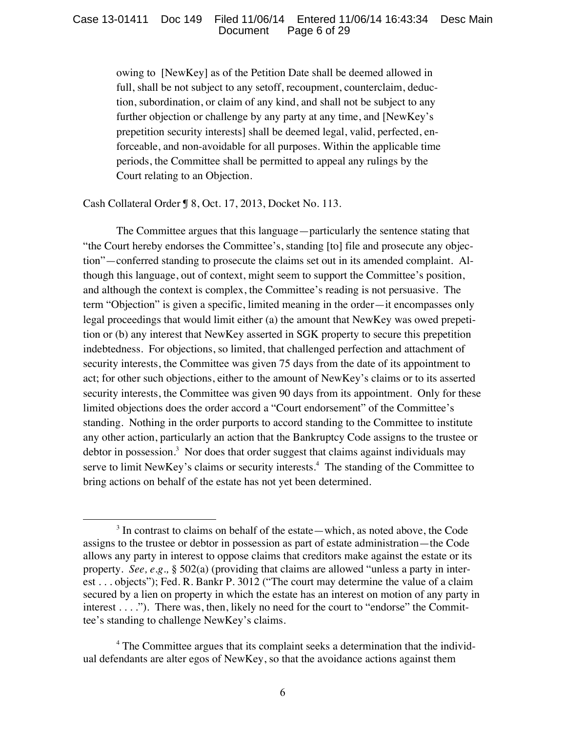owing to [NewKey] as of the Petition Date shall be deemed allowed in full, shall be not subject to any setoff, recoupment, counterclaim, deduction, subordination, or claim of any kind, and shall not be subject to any further objection or challenge by any party at any time, and [NewKey's prepetition security interests] shall be deemed legal, valid, perfected, enforceable, and non-avoidable for all purposes. Within the applicable time periods, the Committee shall be permitted to appeal any rulings by the Court relating to an Objection.

Cash Collateral Order ¶ 8, Oct. 17, 2013, Docket No. 113.

 

The Committee argues that this language—particularly the sentence stating that "the Court hereby endorses the Committee's, standing [to] file and prosecute any objection"—conferred standing to prosecute the claims set out in its amended complaint. Although this language, out of context, might seem to support the Committee's position, and although the context is complex, the Committee's reading is not persuasive. The term "Objection" is given a specific, limited meaning in the order—it encompasses only legal proceedings that would limit either (a) the amount that NewKey was owed prepetition or (b) any interest that NewKey asserted in SGK property to secure this prepetition indebtedness. For objections, so limited, that challenged perfection and attachment of security interests, the Committee was given 75 days from the date of its appointment to act; for other such objections, either to the amount of NewKey's claims or to its asserted security interests, the Committee was given 90 days from its appointment. Only for these limited objections does the order accord a "Court endorsement" of the Committee's standing. Nothing in the order purports to accord standing to the Committee to institute any other action, particularly an action that the Bankruptcy Code assigns to the trustee or debtor in possession.<sup>3</sup> Nor does that order suggest that claims against individuals may serve to limit NewKey's claims or security interests.<sup>4</sup> The standing of the Committee to bring actions on behalf of the estate has not yet been determined.

 $3$  In contrast to claims on behalf of the estate—which, as noted above, the Code assigns to the trustee or debtor in possession as part of estate administration—the Code allows any party in interest to oppose claims that creditors make against the estate or its property. *See, e.g.,* § 502(a) (providing that claims are allowed "unless a party in interest . . . objects"); Fed. R. Bankr P. 3012 ("The court may determine the value of a claim secured by a lien on property in which the estate has an interest on motion of any party in interest . . . ."). There was, then, likely no need for the court to "endorse" the Committee's standing to challenge NewKey's claims.

<sup>&</sup>lt;sup>4</sup> The Committee argues that its complaint seeks a determination that the individual defendants are alter egos of NewKey, so that the avoidance actions against them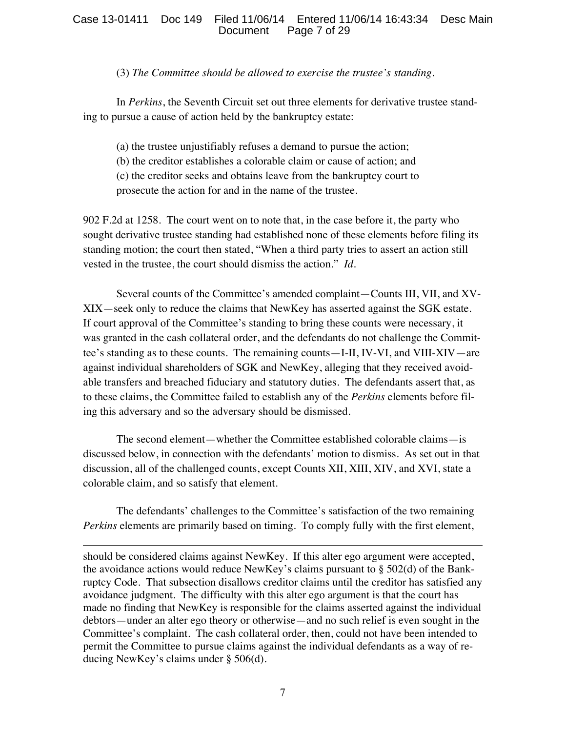## (3) *The Committee should be allowed to exercise the trustee's standing.*

In *Perkins*, the Seventh Circuit set out three elements for derivative trustee standing to pursue a cause of action held by the bankruptcy estate:

(a) the trustee unjustifiably refuses a demand to pursue the action;

- (b) the creditor establishes a colorable claim or cause of action; and
- (c) the creditor seeks and obtains leave from the bankruptcy court to

prosecute the action for and in the name of the trustee.

902 F.2d at 1258. The court went on to note that, in the case before it, the party who sought derivative trustee standing had established none of these elements before filing its standing motion; the court then stated, "When a third party tries to assert an action still vested in the trustee, the court should dismiss the action." *Id.*

Several counts of the Committee's amended complaint—Counts III, VII, and XV-XIX—seek only to reduce the claims that NewKey has asserted against the SGK estate. If court approval of the Committee's standing to bring these counts were necessary, it was granted in the cash collateral order, and the defendants do not challenge the Committee's standing as to these counts. The remaining counts—I-II, IV-VI, and VIII-XIV—are against individual shareholders of SGK and NewKey, alleging that they received avoidable transfers and breached fiduciary and statutory duties. The defendants assert that, as to these claims, the Committee failed to establish any of the *Perkins* elements before filing this adversary and so the adversary should be dismissed.

The second element—whether the Committee established colorable claims—is discussed below, in connection with the defendants' motion to dismiss. As set out in that discussion, all of the challenged counts, except Counts XII, XIII, XIV, and XVI, state a colorable claim, and so satisfy that element.

The defendants' challenges to the Committee's satisfaction of the two remaining *Perkins* elements are primarily based on timing. To comply fully with the first element,

<u> 1989 - Andrea San Andrea San Andrea San Andrea San Andrea San Andrea San Andrea San Andrea San Andrea San An</u>

should be considered claims against NewKey. If this alter ego argument were accepted, the avoidance actions would reduce NewKey's claims pursuant to  $\S$  502(d) of the Bankruptcy Code. That subsection disallows creditor claims until the creditor has satisfied any avoidance judgment. The difficulty with this alter ego argument is that the court has made no finding that NewKey is responsible for the claims asserted against the individual debtors—under an alter ego theory or otherwise—and no such relief is even sought in the Committee's complaint. The cash collateral order, then, could not have been intended to permit the Committee to pursue claims against the individual defendants as a way of reducing NewKey's claims under § 506(d).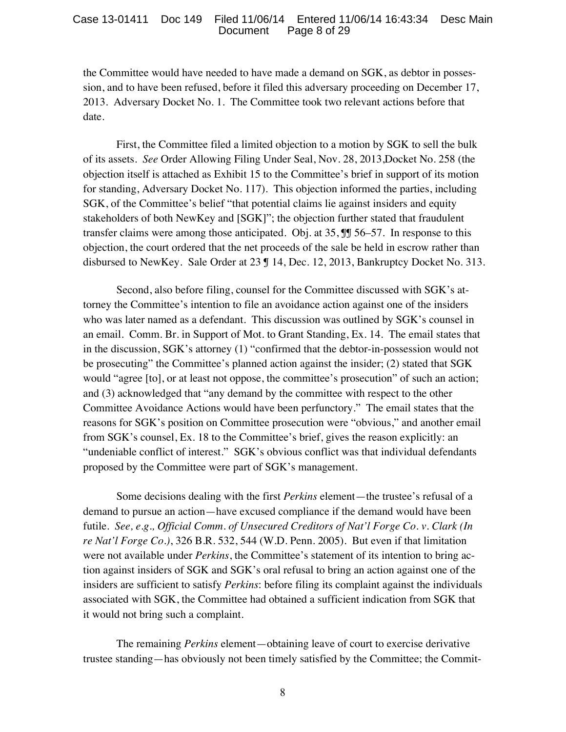the Committee would have needed to have made a demand on SGK, as debtor in possession, and to have been refused, before it filed this adversary proceeding on December 17, 2013. Adversary Docket No. 1. The Committee took two relevant actions before that date.

First, the Committee filed a limited objection to a motion by SGK to sell the bulk of its assets. *See* Order Allowing Filing Under Seal, Nov. 28, 2013,Docket No. 258 (the objection itself is attached as Exhibit 15 to the Committee's brief in support of its motion for standing, Adversary Docket No. 117). This objection informed the parties, including SGK, of the Committee's belief "that potential claims lie against insiders and equity stakeholders of both NewKey and [SGK]"; the objection further stated that fraudulent transfer claims were among those anticipated. Obj. at 35, ¶¶ 56–57. In response to this objection, the court ordered that the net proceeds of the sale be held in escrow rather than disbursed to NewKey. Sale Order at 23 ¶ 14, Dec. 12, 2013, Bankruptcy Docket No. 313.

Second, also before filing, counsel for the Committee discussed with SGK's attorney the Committee's intention to file an avoidance action against one of the insiders who was later named as a defendant. This discussion was outlined by SGK's counsel in an email. Comm. Br. in Support of Mot. to Grant Standing, Ex. 14. The email states that in the discussion, SGK's attorney (1) "confirmed that the debtor-in-possession would not be prosecuting" the Committee's planned action against the insider; (2) stated that SGK would "agree [to], or at least not oppose, the committee's prosecution" of such an action; and (3) acknowledged that "any demand by the committee with respect to the other Committee Avoidance Actions would have been perfunctory." The email states that the reasons for SGK's position on Committee prosecution were "obvious," and another email from SGK's counsel, Ex. 18 to the Committee's brief, gives the reason explicitly: an "undeniable conflict of interest." SGK's obvious conflict was that individual defendants proposed by the Committee were part of SGK's management.

Some decisions dealing with the first *Perkins* element—the trustee's refusal of a demand to pursue an action—have excused compliance if the demand would have been futile. *See, e.g., Official Comm. of Unsecured Creditors of Nat'l Forge Co. v. Clark (In re Nat'l Forge Co.)*, 326 B.R. 532, 544 (W.D. Penn. 2005). But even if that limitation were not available under *Perkins*, the Committee's statement of its intention to bring action against insiders of SGK and SGK's oral refusal to bring an action against one of the insiders are sufficient to satisfy *Perkins*: before filing its complaint against the individuals associated with SGK, the Committee had obtained a sufficient indication from SGK that it would not bring such a complaint.

The remaining *Perkins* element—obtaining leave of court to exercise derivative trustee standing—has obviously not been timely satisfied by the Committee; the Commit-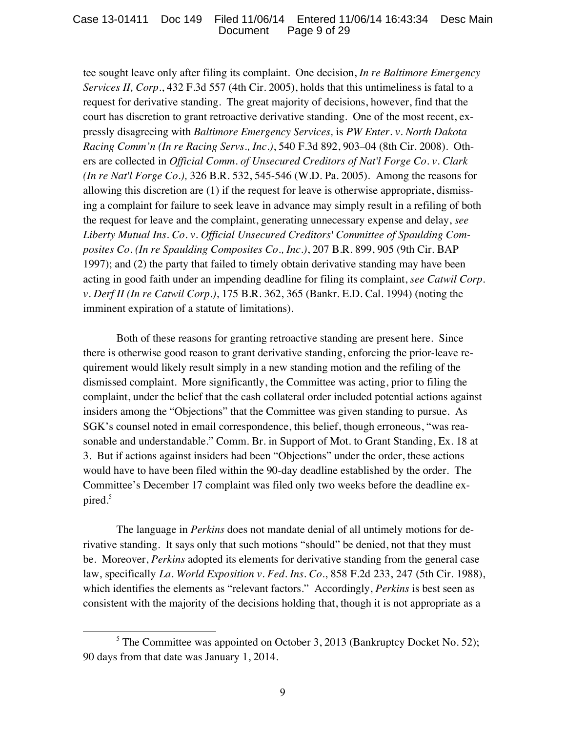tee sought leave only after filing its complaint. One decision, *In re Baltimore Emergency Services II, Corp.*, 432 F.3d 557 (4th Cir. 2005), holds that this untimeliness is fatal to a request for derivative standing. The great majority of decisions, however, find that the court has discretion to grant retroactive derivative standing. One of the most recent, expressly disagreeing with *Baltimore Emergency Services,* is *PW Enter. v. North Dakota Racing Comm'n (In re Racing Servs., Inc.)*, 540 F.3d 892, 903–04 (8th Cir. 2008). Others are collected in *Official Comm. of Unsecured Creditors of Nat'l Forge Co. v. Clark (In re Nat'l Forge Co.),* 326 B.R. 532, 545-546 (W.D. Pa. 2005). Among the reasons for allowing this discretion are (1) if the request for leave is otherwise appropriate, dismissing a complaint for failure to seek leave in advance may simply result in a refiling of both the request for leave and the complaint, generating unnecessary expense and delay, *see Liberty Mutual Ins. Co. v. Official Unsecured Creditors' Committee of Spaulding Composites Co. (In re Spaulding Composites Co., Inc.)*, 207 B.R. 899, 905 (9th Cir. BAP 1997); and (2) the party that failed to timely obtain derivative standing may have been acting in good faith under an impending deadline for filing its complaint, *see Catwil Corp. v. Derf II (In re Catwil Corp.)*, 175 B.R. 362, 365 (Bankr. E.D. Cal. 1994) (noting the imminent expiration of a statute of limitations).

Both of these reasons for granting retroactive standing are present here. Since there is otherwise good reason to grant derivative standing, enforcing the prior-leave requirement would likely result simply in a new standing motion and the refiling of the dismissed complaint. More significantly, the Committee was acting, prior to filing the complaint, under the belief that the cash collateral order included potential actions against insiders among the "Objections" that the Committee was given standing to pursue. As SGK's counsel noted in email correspondence, this belief, though erroneous, "was reasonable and understandable." Comm. Br. in Support of Mot. to Grant Standing, Ex. 18 at 3. But if actions against insiders had been "Objections" under the order, these actions would have to have been filed within the 90-day deadline established by the order. The Committee's December 17 complaint was filed only two weeks before the deadline expired.<sup>5</sup>

The language in *Perkins* does not mandate denial of all untimely motions for derivative standing. It says only that such motions "should" be denied, not that they must be. Moreover, *Perkins* adopted its elements for derivative standing from the general case law, specifically *La. World Exposition v. Fed. Ins. Co.*, 858 F.2d 233, 247 (5th Cir. 1988), which identifies the elements as "relevant factors." Accordingly, *Perkins* is best seen as consistent with the majority of the decisions holding that, though it is not appropriate as a

 

<sup>&</sup>lt;sup>5</sup> The Committee was appointed on October 3, 2013 (Bankruptcy Docket No. 52); 90 days from that date was January 1, 2014.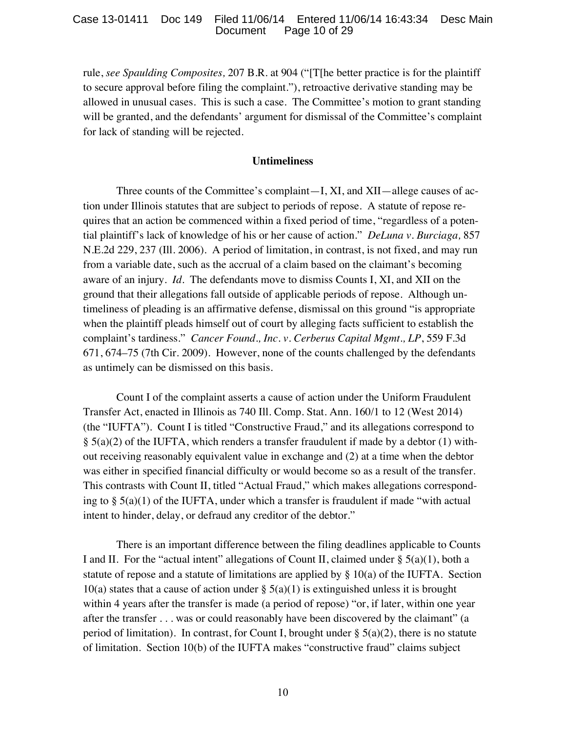### Case 13-01411 Doc 149 Filed 11/06/14 Entered 11/06/14 16:43:34 Desc Main Document Page 10 of 29

rule, *see Spaulding Composites,* 207 B.R. at 904 ("[T[he better practice is for the plaintiff to secure approval before filing the complaint."), retroactive derivative standing may be allowed in unusual cases. This is such a case. The Committee's motion to grant standing will be granted, and the defendants' argument for dismissal of the Committee's complaint for lack of standing will be rejected.

### **Untimeliness**

Three counts of the Committee's complaint—I, XI, and XII—allege causes of action under Illinois statutes that are subject to periods of repose. A statute of repose requires that an action be commenced within a fixed period of time, "regardless of a potential plaintiff's lack of knowledge of his or her cause of action." *DeLuna v. Burciaga,* 857 N.E.2d 229, 237 (Ill. 2006). A period of limitation, in contrast, is not fixed, and may run from a variable date, such as the accrual of a claim based on the claimant's becoming aware of an injury. *Id.* The defendants move to dismiss Counts I, XI, and XII on the ground that their allegations fall outside of applicable periods of repose. Although untimeliness of pleading is an affirmative defense, dismissal on this ground "is appropriate when the plaintiff pleads himself out of court by alleging facts sufficient to establish the complaint's tardiness." *Cancer Found., Inc. v. Cerberus Capital Mgmt., LP*, 559 F.3d 671, 674–75 (7th Cir. 2009). However, none of the counts challenged by the defendants as untimely can be dismissed on this basis.

Count I of the complaint asserts a cause of action under the Uniform Fraudulent Transfer Act, enacted in Illinois as 740 Ill. Comp. Stat. Ann. 160/1 to 12 (West 2014) (the "IUFTA"). Count I is titled "Constructive Fraud," and its allegations correspond to  $\S$  5(a)(2) of the IUFTA, which renders a transfer fraudulent if made by a debtor (1) without receiving reasonably equivalent value in exchange and (2) at a time when the debtor was either in specified financial difficulty or would become so as a result of the transfer. This contrasts with Count II, titled "Actual Fraud," which makes allegations corresponding to  $\S$  5(a)(1) of the IUFTA, under which a transfer is fraudulent if made "with actual intent to hinder, delay, or defraud any creditor of the debtor."

There is an important difference between the filing deadlines applicable to Counts I and II. For the "actual intent" allegations of Count II, claimed under  $\S 5(a)(1)$ , both a statute of repose and a statute of limitations are applied by  $\S 10(a)$  of the IUFTA. Section 10(a) states that a cause of action under  $\S$  5(a)(1) is extinguished unless it is brought within 4 years after the transfer is made (a period of repose) "or, if later, within one year after the transfer . . . was or could reasonably have been discovered by the claimant" (a period of limitation). In contrast, for Count I, brought under  $\S$  5(a)(2), there is no statute of limitation. Section 10(b) of the IUFTA makes "constructive fraud" claims subject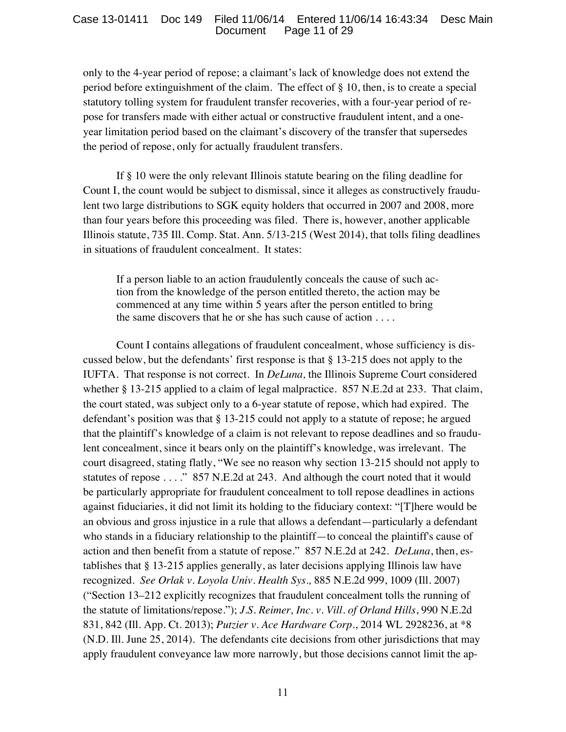only to the 4-year period of repose; a claimant's lack of knowledge does not extend the period before extinguishment of the claim. The effect of § 10, then, is to create a special statutory tolling system for fraudulent transfer recoveries, with a four-year period of repose for transfers made with either actual or constructive fraudulent intent, and a oneyear limitation period based on the claimant's discovery of the transfer that supersedes the period of repose, only for actually fraudulent transfers.

If § 10 were the only relevant Illinois statute bearing on the filing deadline for Count I, the count would be subject to dismissal, since it alleges as constructively fraudulent two large distributions to SGK equity holders that occurred in 2007 and 2008, more than four years before this proceeding was filed. There is, however, another applicable Illinois statute, 735 Ill. Comp. Stat. Ann. 5/13-215 (West 2014), that tolls filing deadlines in situations of fraudulent concealment. It states:

If a person liable to an action fraudulently conceals the cause of such action from the knowledge of the person entitled thereto, the action may be commenced at any time within 5 years after the person entitled to bring the same discovers that he or she has such cause of action . . . .

Count I contains allegations of fraudulent concealment, whose sufficiency is discussed below, but the defendants' first response is that § 13-215 does not apply to the IUFTA. That response is not correct. In *DeLuna,* the Illinois Supreme Court considered whether § 13-215 applied to a claim of legal malpractice. 857 N.E.2d at 233. That claim, the court stated, was subject only to a 6-year statute of repose, which had expired. The defendant's position was that § 13-215 could not apply to a statute of repose; he argued that the plaintiff's knowledge of a claim is not relevant to repose deadlines and so fraudulent concealment, since it bears only on the plaintiff's knowledge, was irrelevant. The court disagreed, stating flatly, "We see no reason why section 13-215 should not apply to statutes of repose . . . ." 857 N.E.2d at 243. And although the court noted that it would be particularly appropriate for fraudulent concealment to toll repose deadlines in actions against fiduciaries, it did not limit its holding to the fiduciary context: "[T]here would be an obvious and gross injustice in a rule that allows a defendant—particularly a defendant who stands in a fiduciary relationship to the plaintiff—to conceal the plaintiff's cause of action and then benefit from a statute of repose." 857 N.E.2d at 242. *DeLuna*, then, establishes that § 13-215 applies generally, as later decisions applying Illinois law have recognized. *See Orlak v. Loyola Univ. Health Sys.,* 885 N.E.2d 999, 1009 (Ill. 2007) ("Section 13–212 explicitly recognizes that fraudulent concealment tolls the running of the statute of limitations/repose."); *J.S. Reimer, Inc. v. Vill. of Orland Hills*, 990 N.E.2d 831, 842 (Ill. App. Ct. 2013); *Putzier v. Ace Hardware Corp.*, 2014 WL 2928236, at \*8 (N.D. Ill. June 25, 2014). The defendants cite decisions from other jurisdictions that may apply fraudulent conveyance law more narrowly, but those decisions cannot limit the ap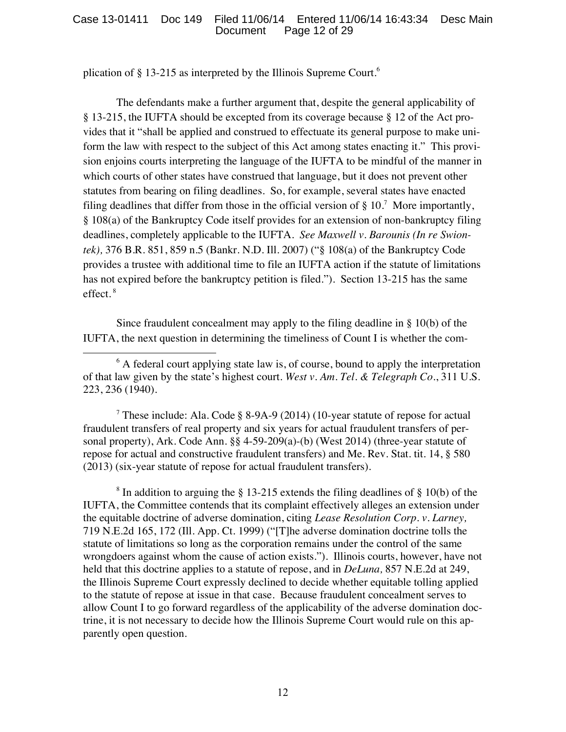plication of § 13-215 as interpreted by the Illinois Supreme Court.<sup>6</sup>

The defendants make a further argument that, despite the general applicability of § 13-215, the IUFTA should be excepted from its coverage because § 12 of the Act provides that it "shall be applied and construed to effectuate its general purpose to make uniform the law with respect to the subject of this Act among states enacting it." This provision enjoins courts interpreting the language of the IUFTA to be mindful of the manner in which courts of other states have construed that language, but it does not prevent other statutes from bearing on filing deadlines. So, for example, several states have enacted filing deadlines that differ from those in the official version of  $\S 10$ .<sup>7</sup> More importantly, § 108(a) of the Bankruptcy Code itself provides for an extension of non-bankruptcy filing deadlines, completely applicable to the IUFTA. *See Maxwell v. Barounis (In re Swiontek),* 376 B.R. 851, 859 n.5 (Bankr. N.D. Ill. 2007) ("§ 108(a) of the Bankruptcy Code provides a trustee with additional time to file an IUFTA action if the statute of limitations has not expired before the bankruptcy petition is filed."). Section 13-215 has the same effect.<sup>8</sup>

Since fraudulent concealment may apply to the filing deadline in § 10(b) of the IUFTA, the next question in determining the timeliness of Count I is whether the com-

<sup>7</sup> These include: Ala. Code § 8-9A-9 (2014) (10-year statute of repose for actual fraudulent transfers of real property and six years for actual fraudulent transfers of personal property), Ark. Code Ann. §§ 4-59-209(a)-(b) (West 2014) (three-year statute of repose for actual and constructive fraudulent transfers) and Me. Rev. Stat. tit. 14, § 580 (2013) (six-year statute of repose for actual fraudulent transfers).

<sup>8</sup> In addition to arguing the § 13-215 extends the filing deadlines of § 10(b) of the IUFTA, the Committee contends that its complaint effectively alleges an extension under the equitable doctrine of adverse domination, citing *Lease Resolution Corp. v. Larney,* 719 N.E.2d 165, 172 (Ill. App. Ct. 1999) ("[T]he adverse domination doctrine tolls the statute of limitations so long as the corporation remains under the control of the same wrongdoers against whom the cause of action exists."). Illinois courts, however, have not held that this doctrine applies to a statute of repose, and in *DeLuna,* 857 N.E.2d at 249, the Illinois Supreme Court expressly declined to decide whether equitable tolling applied to the statute of repose at issue in that case. Because fraudulent concealment serves to allow Count I to go forward regardless of the applicability of the adverse domination doctrine, it is not necessary to decide how the Illinois Supreme Court would rule on this apparently open question.

 <sup>6</sup> A federal court applying state law is, of course, bound to apply the interpretation of that law given by the state's highest court. *West v. Am. Tel. & Telegraph Co.*, 311 U.S. 223, 236 (1940).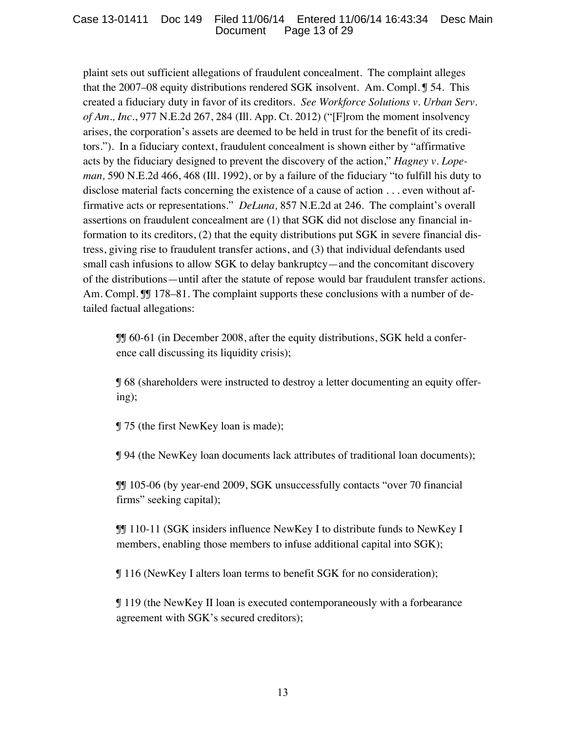plaint sets out sufficient allegations of fraudulent concealment. The complaint alleges that the 2007–08 equity distributions rendered SGK insolvent. Am. Compl. ¶ 54. This created a fiduciary duty in favor of its creditors. *See Workforce Solutions v. Urban Serv. of Am., Inc.*, 977 N.E.2d 267, 284 (Ill. App. Ct. 2012) ("[F]rom the moment insolvency arises, the corporation's assets are deemed to be held in trust for the benefit of its creditors."). In a fiduciary context, fraudulent concealment is shown either by "affirmative acts by the fiduciary designed to prevent the discovery of the action," *Hagney v. Lopeman,* 590 N.E.2d 466, 468 (Ill. 1992), or by a failure of the fiduciary "to fulfill his duty to disclose material facts concerning the existence of a cause of action . . . even without affirmative acts or representations." *DeLuna,* 857 N.E.2d at 246. The complaint's overall assertions on fraudulent concealment are (1) that SGK did not disclose any financial information to its creditors, (2) that the equity distributions put SGK in severe financial distress, giving rise to fraudulent transfer actions, and (3) that individual defendants used small cash infusions to allow SGK to delay bankruptcy—and the concomitant discovery of the distributions—until after the statute of repose would bar fraudulent transfer actions. Am. Compl.  $\mathbb{J}$  [ 178–81. The complaint supports these conclusions with a number of detailed factual allegations:

¶¶ 60-61 (in December 2008, after the equity distributions, SGK held a conference call discussing its liquidity crisis);

¶ 68 (shareholders were instructed to destroy a letter documenting an equity offering);

¶ 75 (the first NewKey loan is made);

¶ 94 (the NewKey loan documents lack attributes of traditional loan documents);

¶¶ 105-06 (by year-end 2009, SGK unsuccessfully contacts "over 70 financial firms" seeking capital);

¶¶ 110-11 (SGK insiders influence NewKey I to distribute funds to NewKey I members, enabling those members to infuse additional capital into SGK);

¶ 116 (NewKey I alters loan terms to benefit SGK for no consideration);

¶ 119 (the NewKey II loan is executed contemporaneously with a forbearance agreement with SGK's secured creditors);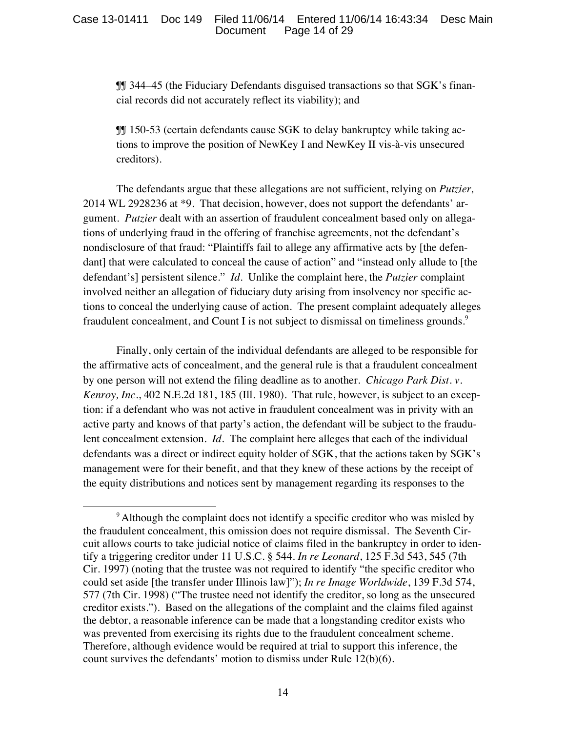¶¶ 344–45 (the Fiduciary Defendants disguised transactions so that SGK's financial records did not accurately reflect its viability); and

¶¶ 150-53 (certain defendants cause SGK to delay bankruptcy while taking actions to improve the position of NewKey I and NewKey II vis-à-vis unsecured creditors).

The defendants argue that these allegations are not sufficient, relying on *Putzier,* 2014 WL 2928236 at \*9. That decision, however, does not support the defendants' argument. *Putzier* dealt with an assertion of fraudulent concealment based only on allegations of underlying fraud in the offering of franchise agreements, not the defendant's nondisclosure of that fraud: "Plaintiffs fail to allege any affirmative acts by [the defendant] that were calculated to conceal the cause of action" and "instead only allude to [the defendant's] persistent silence." *Id.* Unlike the complaint here, the *Putzier* complaint involved neither an allegation of fiduciary duty arising from insolvency nor specific actions to conceal the underlying cause of action. The present complaint adequately alleges fraudulent concealment, and Count I is not subject to dismissal on timeliness grounds.<sup>9</sup>

Finally, only certain of the individual defendants are alleged to be responsible for the affirmative acts of concealment, and the general rule is that a fraudulent concealment by one person will not extend the filing deadline as to another. *Chicago Park Dist. v. Kenroy, Inc.*, 402 N.E.2d 181, 185 (Ill. 1980). That rule, however, is subject to an exception: if a defendant who was not active in fraudulent concealment was in privity with an active party and knows of that party's action, the defendant will be subject to the fraudulent concealment extension. *Id.* The complaint here alleges that each of the individual defendants was a direct or indirect equity holder of SGK, that the actions taken by SGK's management were for their benefit, and that they knew of these actions by the receipt of the equity distributions and notices sent by management regarding its responses to the

 <sup>9</sup> Although the complaint does not identify a specific creditor who was misled by the fraudulent concealment, this omission does not require dismissal. The Seventh Circuit allows courts to take judicial notice of claims filed in the bankruptcy in order to identify a triggering creditor under 11 U.S.C. § 544. *In re Leonard*, 125 F.3d 543, 545 (7th Cir. 1997) (noting that the trustee was not required to identify "the specific creditor who could set aside [the transfer under Illinois law]"); *In re Image Worldwide*, 139 F.3d 574, 577 (7th Cir. 1998) ("The trustee need not identify the creditor, so long as the unsecured creditor exists."). Based on the allegations of the complaint and the claims filed against the debtor, a reasonable inference can be made that a longstanding creditor exists who was prevented from exercising its rights due to the fraudulent concealment scheme. Therefore, although evidence would be required at trial to support this inference, the count survives the defendants' motion to dismiss under Rule 12(b)(6).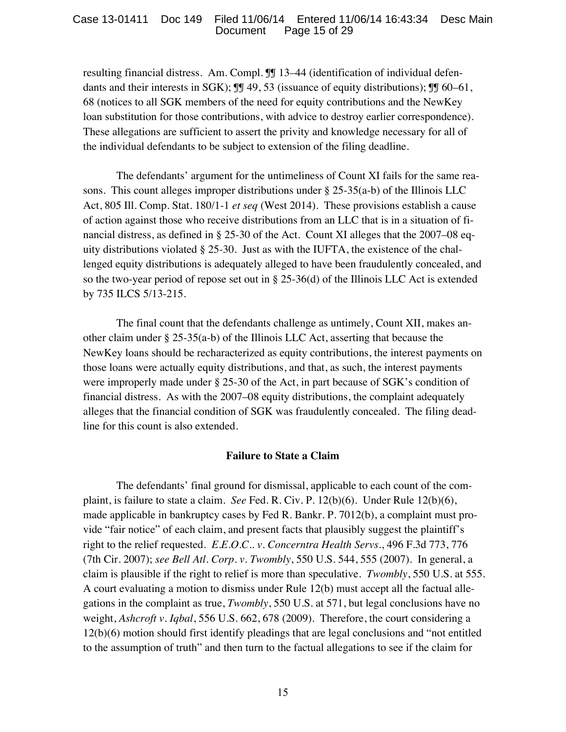### Case 13-01411 Doc 149 Filed 11/06/14 Entered 11/06/14 16:43:34 Desc Main Document Page 15 of 29

resulting financial distress. Am. Compl. ¶¶ 13–44 (identification of individual defendants and their interests in SGK);  $\mathbb{I}$  49, 53 (issuance of equity distributions);  $\mathbb{I}$  60–61, 68 (notices to all SGK members of the need for equity contributions and the NewKey loan substitution for those contributions, with advice to destroy earlier correspondence). These allegations are sufficient to assert the privity and knowledge necessary for all of the individual defendants to be subject to extension of the filing deadline.

The defendants' argument for the untimeliness of Count XI fails for the same reasons. This count alleges improper distributions under  $\S 25-35(a-b)$  of the Illinois LLC Act, 805 Ill. Comp. Stat. 180/1-1 *et seq* (West 2014). These provisions establish a cause of action against those who receive distributions from an LLC that is in a situation of financial distress, as defined in § 25-30 of the Act. Count XI alleges that the 2007–08 equity distributions violated  $\S 25-30$ . Just as with the IUFTA, the existence of the challenged equity distributions is adequately alleged to have been fraudulently concealed, and so the two-year period of repose set out in § 25-36(d) of the Illinois LLC Act is extended by 735 ILCS 5/13-215.

The final count that the defendants challenge as untimely, Count XII, makes another claim under § 25-35(a-b) of the Illinois LLC Act, asserting that because the NewKey loans should be recharacterized as equity contributions, the interest payments on those loans were actually equity distributions, and that, as such, the interest payments were improperly made under § 25-30 of the Act, in part because of SGK's condition of financial distress. As with the 2007–08 equity distributions, the complaint adequately alleges that the financial condition of SGK was fraudulently concealed. The filing deadline for this count is also extended.

### **Failure to State a Claim**

The defendants' final ground for dismissal, applicable to each count of the complaint, is failure to state a claim. *See* Fed. R. Civ. P. 12(b)(6). Under Rule 12(b)(6), made applicable in bankruptcy cases by Fed R. Bankr. P. 7012(b), a complaint must provide "fair notice" of each claim, and present facts that plausibly suggest the plaintiff's right to the relief requested. *E.E.O.C.. v. Concerntra Health Servs.*, 496 F.3d 773, 776 (7th Cir. 2007); *see Bell Atl. Corp. v. Twombly*, 550 U.S. 544, 555 (2007). In general, a claim is plausible if the right to relief is more than speculative. *Twombly*, 550 U.S. at 555. A court evaluating a motion to dismiss under Rule 12(b) must accept all the factual allegations in the complaint as true, *Twombly*, 550 U.S. at 571, but legal conclusions have no weight, *Ashcroft v. Iqbal*, 556 U.S. 662, 678 (2009). Therefore, the court considering a 12(b)(6) motion should first identify pleadings that are legal conclusions and "not entitled to the assumption of truth" and then turn to the factual allegations to see if the claim for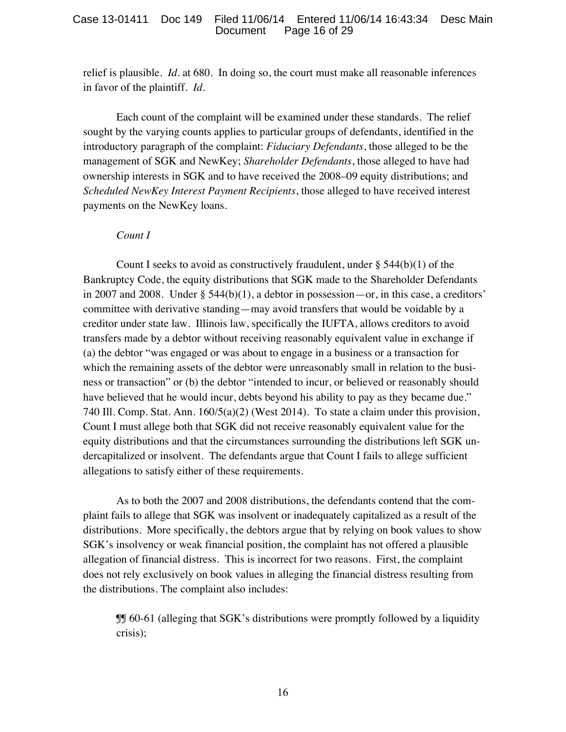### Case 13-01411 Doc 149 Filed 11/06/14 Entered 11/06/14 16:43:34 Desc Main Document Page 16 of 29

relief is plausible. *Id.* at 680. In doing so, the court must make all reasonable inferences in favor of the plaintiff. *Id.* 

Each count of the complaint will be examined under these standards. The relief sought by the varying counts applies to particular groups of defendants, identified in the introductory paragraph of the complaint: *Fiduciary Defendants*, those alleged to be the management of SGK and NewKey; *Shareholder Defendants*, those alleged to have had ownership interests in SGK and to have received the 2008–09 equity distributions; and *Scheduled NewKey Interest Payment Recipients*, those alleged to have received interest payments on the NewKey loans.

### *Count I*

Count I seeks to avoid as constructively fraudulent, under § 544(b)(1) of the Bankruptcy Code, the equity distributions that SGK made to the Shareholder Defendants in 2007 and 2008. Under § 544(b)(1), a debtor in possession—or, in this case, a creditors' committee with derivative standing—may avoid transfers that would be voidable by a creditor under state law. Illinois law, specifically the IUFTA, allows creditors to avoid transfers made by a debtor without receiving reasonably equivalent value in exchange if (a) the debtor "was engaged or was about to engage in a business or a transaction for which the remaining assets of the debtor were unreasonably small in relation to the business or transaction" or (b) the debtor "intended to incur, or believed or reasonably should have believed that he would incur, debts beyond his ability to pay as they became due." 740 Ill. Comp. Stat. Ann. 160/5(a)(2) (West 2014). To state a claim under this provision, Count I must allege both that SGK did not receive reasonably equivalent value for the equity distributions and that the circumstances surrounding the distributions left SGK undercapitalized or insolvent. The defendants argue that Count I fails to allege sufficient allegations to satisfy either of these requirements.

As to both the 2007 and 2008 distributions, the defendants contend that the complaint fails to allege that SGK was insolvent or inadequately capitalized as a result of the distributions. More specifically, the debtors argue that by relying on book values to show SGK's insolvency or weak financial position, the complaint has not offered a plausible allegation of financial distress. This is incorrect for two reasons. First, the complaint does not rely exclusively on book values in alleging the financial distress resulting from the distributions. The complaint also includes:

¶¶ 60-61 (alleging that SGK's distributions were promptly followed by a liquidity crisis);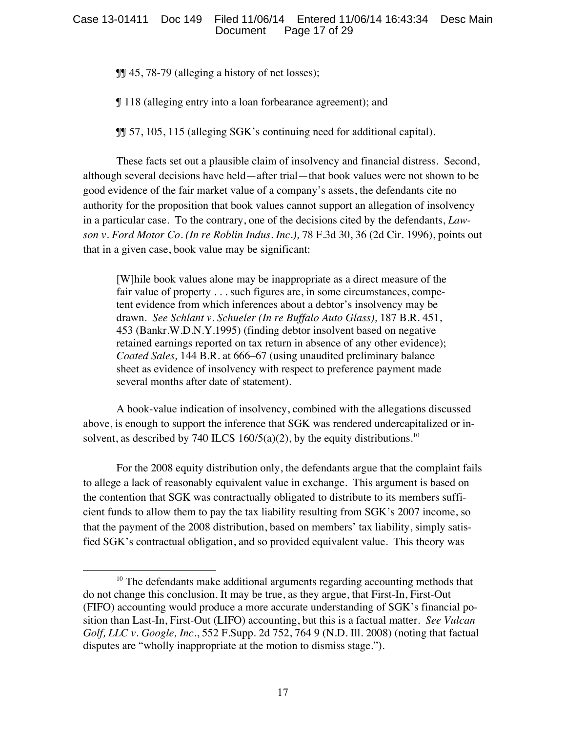¶¶ 45, 78-79 (alleging a history of net losses);

¶ 118 (alleging entry into a loan forbearance agreement); and

¶¶ 57, 105, 115 (alleging SGK's continuing need for additional capital).

These facts set out a plausible claim of insolvency and financial distress. Second, although several decisions have held—after trial—that book values were not shown to be good evidence of the fair market value of a company's assets, the defendants cite no authority for the proposition that book values cannot support an allegation of insolvency in a particular case. To the contrary, one of the decisions cited by the defendants, *Lawson v. Ford Motor Co. (In re Roblin Indus. Inc.),* 78 F.3d 30, 36 (2d Cir. 1996), points out that in a given case, book value may be significant:

[W]hile book values alone may be inappropriate as a direct measure of the fair value of property . . . such figures are, in some circumstances, competent evidence from which inferences about a debtor's insolvency may be drawn. *See Schlant v. Schueler (In re Buffalo Auto Glass),* 187 B.R. 451, 453 (Bankr.W.D.N.Y.1995) (finding debtor insolvent based on negative retained earnings reported on tax return in absence of any other evidence); *Coated Sales,* 144 B.R. at 666–67 (using unaudited preliminary balance sheet as evidence of insolvency with respect to preference payment made several months after date of statement).

A book-value indication of insolvency, combined with the allegations discussed above, is enough to support the inference that SGK was rendered undercapitalized or insolvent, as described by 740 ILCS 160/5(a)(2), by the equity distributions.<sup>10</sup>

For the 2008 equity distribution only, the defendants argue that the complaint fails to allege a lack of reasonably equivalent value in exchange. This argument is based on the contention that SGK was contractually obligated to distribute to its members sufficient funds to allow them to pay the tax liability resulting from SGK's 2007 income, so that the payment of the 2008 distribution, based on members' tax liability, simply satisfied SGK's contractual obligation, and so provided equivalent value. This theory was

  $10$  The defendants make additional arguments regarding accounting methods that do not change this conclusion. It may be true, as they argue, that First-In, First-Out (FIFO) accounting would produce a more accurate understanding of SGK's financial position than Last-In, First-Out (LIFO) accounting, but this is a factual matter. *See Vulcan Golf, LLC v. Google, Inc.*, 552 F.Supp. 2d 752, 764 9 (N.D. Ill. 2008) (noting that factual disputes are "wholly inappropriate at the motion to dismiss stage.").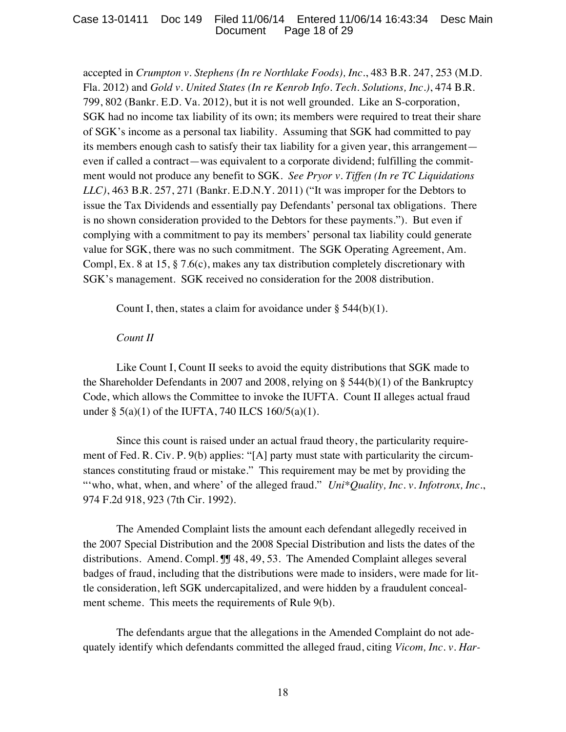accepted in *Crumpton v. Stephens (In re Northlake Foods), Inc.*, 483 B.R. 247, 253 (M.D. Fla. 2012) and *Gold v. United States (In re Kenrob Info. Tech. Solutions, Inc.)*, 474 B.R. 799, 802 (Bankr. E.D. Va. 2012), but it is not well grounded. Like an S-corporation, SGK had no income tax liability of its own; its members were required to treat their share of SGK's income as a personal tax liability. Assuming that SGK had committed to pay its members enough cash to satisfy their tax liability for a given year, this arrangement even if called a contract—was equivalent to a corporate dividend; fulfilling the commitment would not produce any benefit to SGK. *See Pryor v. Tiffen (In re TC Liquidations LLC)*, 463 B.R. 257, 271 (Bankr. E.D.N.Y. 2011) ("It was improper for the Debtors to issue the Tax Dividends and essentially pay Defendants' personal tax obligations. There is no shown consideration provided to the Debtors for these payments."). But even if complying with a commitment to pay its members' personal tax liability could generate value for SGK, there was no such commitment. The SGK Operating Agreement, Am. Compl, Ex. 8 at 15, § 7.6(c), makes any tax distribution completely discretionary with SGK's management. SGK received no consideration for the 2008 distribution.

Count I, then, states a claim for avoidance under  $\S$  544(b)(1).

### *Count II*

Like Count I, Count II seeks to avoid the equity distributions that SGK made to the Shareholder Defendants in 2007 and 2008, relying on § 544(b)(1) of the Bankruptcy Code, which allows the Committee to invoke the IUFTA. Count II alleges actual fraud under  $\S$  5(a)(1) of the IUFTA, 740 ILCS 160/5(a)(1).

Since this count is raised under an actual fraud theory, the particularity requirement of Fed. R. Civ. P. 9(b) applies: "[A] party must state with particularity the circumstances constituting fraud or mistake." This requirement may be met by providing the "'who, what, when, and where' of the alleged fraud." *Uni\*Quality, Inc. v. Infotronx, Inc.*, 974 F.2d 918, 923 (7th Cir. 1992).

The Amended Complaint lists the amount each defendant allegedly received in the 2007 Special Distribution and the 2008 Special Distribution and lists the dates of the distributions. Amend. Compl. II 48, 49, 53. The Amended Complaint alleges several badges of fraud, including that the distributions were made to insiders, were made for little consideration, left SGK undercapitalized, and were hidden by a fraudulent concealment scheme. This meets the requirements of Rule 9(b).

The defendants argue that the allegations in the Amended Complaint do not adequately identify which defendants committed the alleged fraud, citing *Vicom, Inc. v. Har-*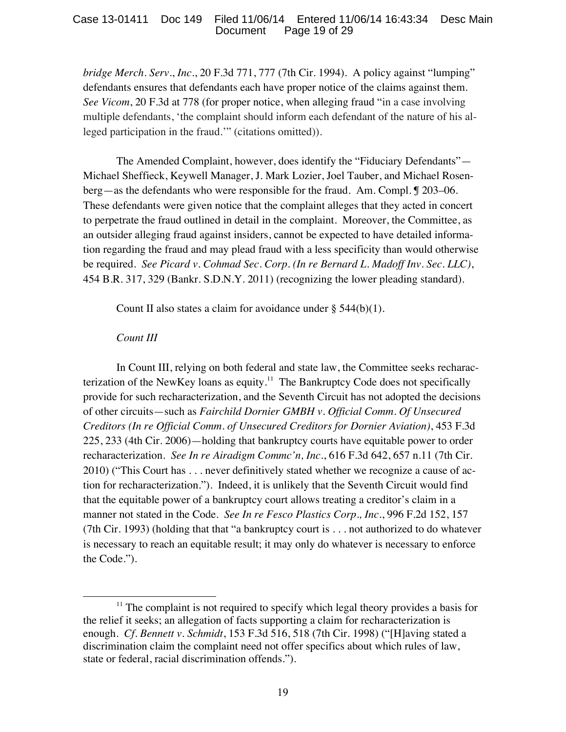### Case 13-01411 Doc 149 Filed 11/06/14 Entered 11/06/14 16:43:34 Desc Main Page 19 of 29

*bridge Merch. Serv.*, *Inc.*, 20 F.3d 771, 777 (7th Cir. 1994). A policy against "lumping" defendants ensures that defendants each have proper notice of the claims against them. *See Vicom*, 20 F.3d at 778 (for proper notice, when alleging fraud "in a case involving multiple defendants, 'the complaint should inform each defendant of the nature of his alleged participation in the fraud.'" (citations omitted)).

The Amended Complaint, however, does identify the "Fiduciary Defendants"— Michael Sheffieck, Keywell Manager, J. Mark Lozier, Joel Tauber, and Michael Rosenberg—as the defendants who were responsible for the fraud. Am. Compl. ¶ 203–06. These defendants were given notice that the complaint alleges that they acted in concert to perpetrate the fraud outlined in detail in the complaint. Moreover, the Committee, as an outsider alleging fraud against insiders, cannot be expected to have detailed information regarding the fraud and may plead fraud with a less specificity than would otherwise be required. *See Picard v. Cohmad Sec. Corp. (In re Bernard L. Madoff Inv. Sec. LLC)*, 454 B.R. 317, 329 (Bankr. S.D.N.Y. 2011) (recognizing the lower pleading standard).

Count II also states a claim for avoidance under  $\S$  544(b)(1).

## *Count III*

 

In Count III, relying on both federal and state law, the Committee seeks recharacterization of the NewKey loans as equity.<sup>11</sup> The Bankruptcy Code does not specifically provide for such recharacterization, and the Seventh Circuit has not adopted the decisions of other circuits—such as *Fairchild Dornier GMBH v. Official Comm. Of Unsecured Creditors (In re Official Comm. of Unsecured Creditors for Dornier Aviation)*, 453 F.3d 225, 233 (4th Cir. 2006)—holding that bankruptcy courts have equitable power to order recharacterization. *See In re Airadigm Commc'n, Inc.*, 616 F.3d 642, 657 n.11 (7th Cir. 2010) ("This Court has . . . never definitively stated whether we recognize a cause of action for recharacterization."). Indeed, it is unlikely that the Seventh Circuit would find that the equitable power of a bankruptcy court allows treating a creditor's claim in a manner not stated in the Code. *See In re Fesco Plastics Corp., Inc*., 996 F.2d 152, 157 (7th Cir. 1993) (holding that that "a bankruptcy court is . . . not authorized to do whatever is necessary to reach an equitable result; it may only do whatever is necessary to enforce the Code.").

 $11$  The complaint is not required to specify which legal theory provides a basis for the relief it seeks; an allegation of facts supporting a claim for recharacterization is enough. *Cf. Bennett v. Schmidt*, 153 F.3d 516, 518 (7th Cir. 1998) ("[H]aving stated a discrimination claim the complaint need not offer specifics about which rules of law, state or federal, racial discrimination offends.").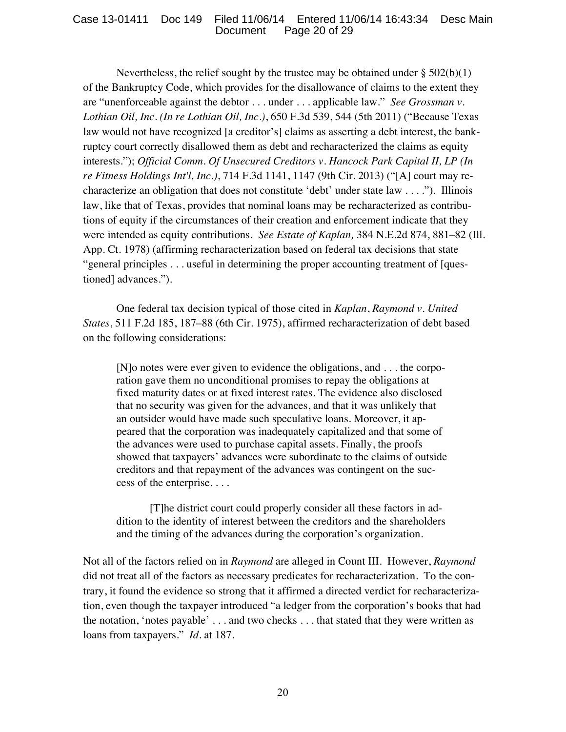Nevertheless, the relief sought by the trustee may be obtained under  $\S 502(b)(1)$ of the Bankruptcy Code, which provides for the disallowance of claims to the extent they are "unenforceable against the debtor . . . under . . . applicable law." *See Grossman v. Lothian Oil, Inc. (In re Lothian Oil, Inc.)*, 650 F.3d 539, 544 (5th 2011) ("Because Texas law would not have recognized [a creditor's] claims as asserting a debt interest, the bankruptcy court correctly disallowed them as debt and recharacterized the claims as equity interests."); *Official Comm. Of Unsecured Creditors v. Hancock Park Capital II, LP (In re Fitness Holdings Int'l, Inc.)*, 714 F.3d 1141, 1147 (9th Cir. 2013) ("[A] court may recharacterize an obligation that does not constitute 'debt' under state law . . . ."). Illinois law, like that of Texas, provides that nominal loans may be recharacterized as contributions of equity if the circumstances of their creation and enforcement indicate that they were intended as equity contributions. *See Estate of Kaplan,* 384 N.E.2d 874, 881–82 (Ill. App. Ct. 1978) (affirming recharacterization based on federal tax decisions that state "general principles . . . useful in determining the proper accounting treatment of [questioned] advances.").

One federal tax decision typical of those cited in *Kaplan*, *Raymond v. United States*, 511 F.2d 185, 187–88 (6th Cir. 1975), affirmed recharacterization of debt based on the following considerations:

[N]o notes were ever given to evidence the obligations, and . . . the corporation gave them no unconditional promises to repay the obligations at fixed maturity dates or at fixed interest rates. The evidence also disclosed that no security was given for the advances, and that it was unlikely that an outsider would have made such speculative loans. Moreover, it appeared that the corporation was inadequately capitalized and that some of the advances were used to purchase capital assets. Finally, the proofs showed that taxpayers' advances were subordinate to the claims of outside creditors and that repayment of the advances was contingent on the success of the enterprise. . . .

[T]he district court could properly consider all these factors in addition to the identity of interest between the creditors and the shareholders and the timing of the advances during the corporation's organization.

Not all of the factors relied on in *Raymond* are alleged in Count III. However, *Raymond*  did not treat all of the factors as necessary predicates for recharacterization. To the contrary, it found the evidence so strong that it affirmed a directed verdict for recharacterization, even though the taxpayer introduced "a ledger from the corporation's books that had the notation, 'notes payable' . . . and two checks . . . that stated that they were written as loans from taxpayers." *Id.* at 187.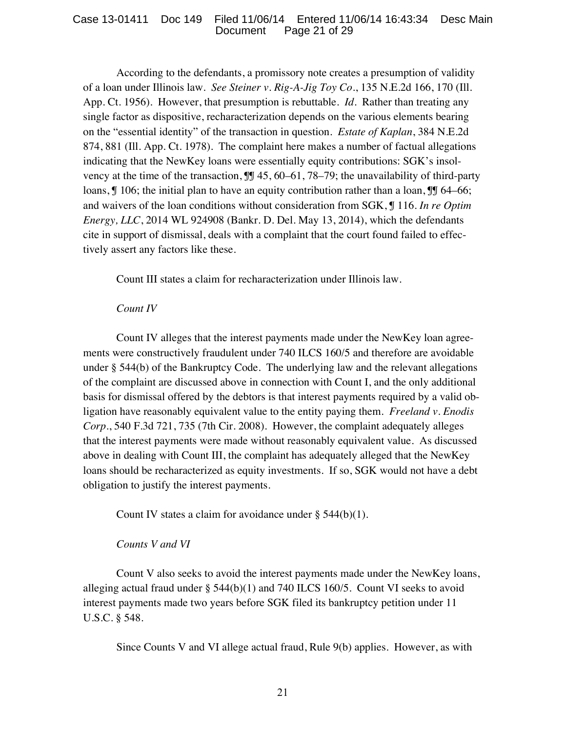According to the defendants, a promissory note creates a presumption of validity of a loan under Illinois law. *See Steiner v. Rig-A-Jig Toy Co.*, 135 N.E.2d 166, 170 (Ill. App. Ct. 1956). However, that presumption is rebuttable. *Id.* Rather than treating any single factor as dispositive, recharacterization depends on the various elements bearing on the "essential identity" of the transaction in question. *Estate of Kaplan*, 384 N.E.2d 874, 881 (Ill. App. Ct. 1978). The complaint here makes a number of factual allegations indicating that the NewKey loans were essentially equity contributions: SGK's insolvency at the time of the transaction,  $III$  45, 60–61, 78–79; the unavailability of third-party loans,  $\int$  106; the initial plan to have an equity contribution rather than a loan,  $\int$  64–66; and waivers of the loan conditions without consideration from SGK, ¶ 116. *In re Optim Energy, LLC*, 2014 WL 924908 (Bankr. D. Del. May 13, 2014), which the defendants cite in support of dismissal, deals with a complaint that the court found failed to effectively assert any factors like these.

Count III states a claim for recharacterization under Illinois law.

## *Count IV*

Count IV alleges that the interest payments made under the NewKey loan agreements were constructively fraudulent under 740 ILCS 160/5 and therefore are avoidable under § 544(b) of the Bankruptcy Code. The underlying law and the relevant allegations of the complaint are discussed above in connection with Count I, and the only additional basis for dismissal offered by the debtors is that interest payments required by a valid obligation have reasonably equivalent value to the entity paying them. *Freeland v. Enodis Corp.*, 540 F.3d 721, 735 (7th Cir. 2008). However, the complaint adequately alleges that the interest payments were made without reasonably equivalent value. As discussed above in dealing with Count III, the complaint has adequately alleged that the NewKey loans should be recharacterized as equity investments. If so, SGK would not have a debt obligation to justify the interest payments.

Count IV states a claim for avoidance under  $\S$  544(b)(1).

## *Counts V and VI*

Count V also seeks to avoid the interest payments made under the NewKey loans, alleging actual fraud under  $\S$  544(b)(1) and 740 ILCS 160/5. Count VI seeks to avoid interest payments made two years before SGK filed its bankruptcy petition under 11 U.S.C. § 548.

Since Counts V and VI allege actual fraud, Rule 9(b) applies. However, as with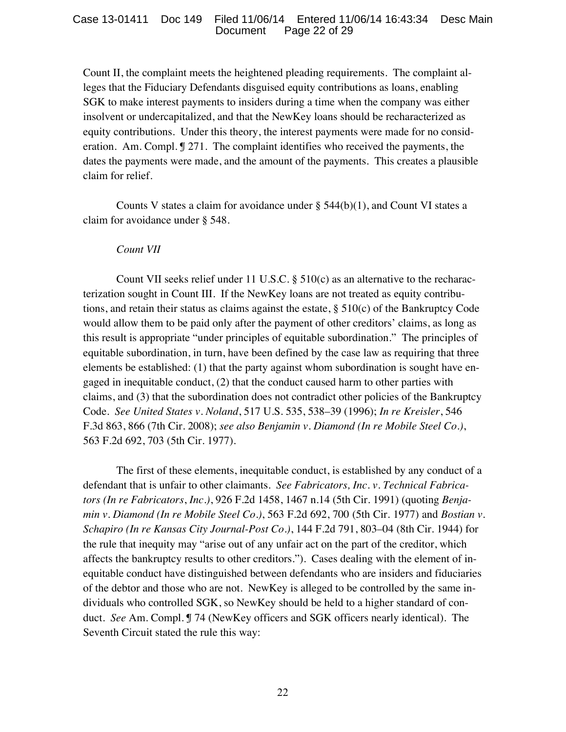Count II, the complaint meets the heightened pleading requirements. The complaint alleges that the Fiduciary Defendants disguised equity contributions as loans, enabling SGK to make interest payments to insiders during a time when the company was either insolvent or undercapitalized, and that the NewKey loans should be recharacterized as equity contributions. Under this theory, the interest payments were made for no consideration. Am. Compl. ¶ 271. The complaint identifies who received the payments, the dates the payments were made, and the amount of the payments. This creates a plausible claim for relief.

Counts V states a claim for avoidance under  $\S$  544(b)(1), and Count VI states a claim for avoidance under § 548.

### *Count VII*

Count VII seeks relief under 11 U.S.C. § 510(c) as an alternative to the recharacterization sought in Count III. If the NewKey loans are not treated as equity contributions, and retain their status as claims against the estate, § 510(c) of the Bankruptcy Code would allow them to be paid only after the payment of other creditors' claims, as long as this result is appropriate "under principles of equitable subordination." The principles of equitable subordination, in turn, have been defined by the case law as requiring that three elements be established: (1) that the party against whom subordination is sought have engaged in inequitable conduct, (2) that the conduct caused harm to other parties with claims, and (3) that the subordination does not contradict other policies of the Bankruptcy Code. *See United States v. Noland*, 517 U.S. 535, 538–39 (1996); *In re Kreisler*, 546 F.3d 863, 866 (7th Cir. 2008); *see also Benjamin v. Diamond (In re Mobile Steel Co.)*, 563 F.2d 692, 703 (5th Cir. 1977).

The first of these elements, inequitable conduct, is established by any conduct of a defendant that is unfair to other claimants. *See Fabricators, Inc. v. Technical Fabricators (In re Fabricators*, *Inc.)*, 926 F.2d 1458, 1467 n.14 (5th Cir. 1991) (quoting *Benjamin v. Diamond (In re Mobile Steel Co.)*, 563 F.2d 692, 700 (5th Cir. 1977) and *Bostian v. Schapiro (In re Kansas City Journal-Post Co.)*, 144 F.2d 791, 803–04 (8th Cir. 1944) for the rule that inequity may "arise out of any unfair act on the part of the creditor, which affects the bankruptcy results to other creditors."). Cases dealing with the element of inequitable conduct have distinguished between defendants who are insiders and fiduciaries of the debtor and those who are not. NewKey is alleged to be controlled by the same individuals who controlled SGK, so NewKey should be held to a higher standard of conduct. *See* Am. Compl. ¶ 74 (NewKey officers and SGK officers nearly identical). The Seventh Circuit stated the rule this way: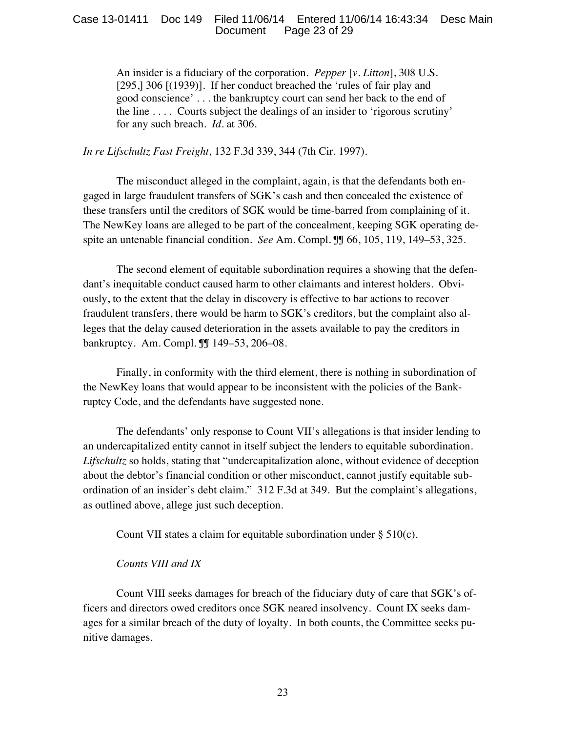#### Case 13-01411 Doc 149 Filed 11/06/14 Entered 11/06/14 16:43:34 Desc Main Document Page 23 of 29

An insider is a fiduciary of the corporation. *Pepper* [*v. Litton*], 308 U.S. [295,] 306 [(1939)]. If her conduct breached the 'rules of fair play and good conscience' . . . the bankruptcy court can send her back to the end of the line  $\dots$ . Courts subject the dealings of an insider to 'rigorous scrutiny' for any such breach. *Id.* at 306.

*In re Lifschultz Fast Freight,* 132 F.3d 339, 344 (7th Cir. 1997).

The misconduct alleged in the complaint, again, is that the defendants both engaged in large fraudulent transfers of SGK's cash and then concealed the existence of these transfers until the creditors of SGK would be time-barred from complaining of it. The NewKey loans are alleged to be part of the concealment, keeping SGK operating despite an untenable financial condition. *See* Am. Compl. ¶¶ 66, 105, 119, 149–53, 325.

The second element of equitable subordination requires a showing that the defendant's inequitable conduct caused harm to other claimants and interest holders. Obviously, to the extent that the delay in discovery is effective to bar actions to recover fraudulent transfers, there would be harm to SGK's creditors, but the complaint also alleges that the delay caused deterioration in the assets available to pay the creditors in bankruptcy. Am. Compl. ¶¶ 149–53, 206–08.

Finally, in conformity with the third element, there is nothing in subordination of the NewKey loans that would appear to be inconsistent with the policies of the Bankruptcy Code, and the defendants have suggested none.

The defendants' only response to Count VII's allegations is that insider lending to an undercapitalized entity cannot in itself subject the lenders to equitable subordination. *Lifschultz* so holds, stating that "undercapitalization alone, without evidence of deception about the debtor's financial condition or other misconduct, cannot justify equitable subordination of an insider's debt claim." 312 F.3d at 349. But the complaint's allegations, as outlined above, allege just such deception.

Count VII states a claim for equitable subordination under § 510(c).

### *Counts VIII and IX*

Count VIII seeks damages for breach of the fiduciary duty of care that SGK's officers and directors owed creditors once SGK neared insolvency. Count IX seeks damages for a similar breach of the duty of loyalty. In both counts, the Committee seeks punitive damages.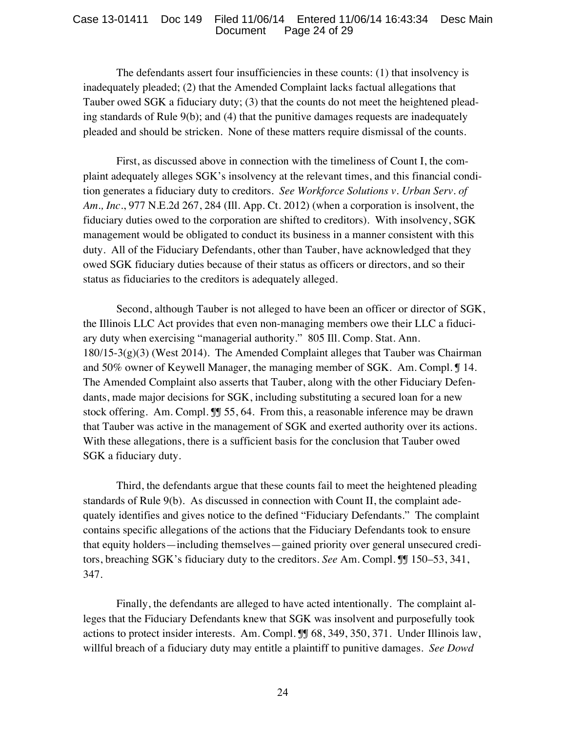The defendants assert four insufficiencies in these counts: (1) that insolvency is inadequately pleaded; (2) that the Amended Complaint lacks factual allegations that Tauber owed SGK a fiduciary duty; (3) that the counts do not meet the heightened pleading standards of Rule 9(b); and (4) that the punitive damages requests are inadequately pleaded and should be stricken. None of these matters require dismissal of the counts.

First, as discussed above in connection with the timeliness of Count I, the complaint adequately alleges SGK's insolvency at the relevant times, and this financial condition generates a fiduciary duty to creditors. *See Workforce Solutions v. Urban Serv. of Am., Inc.*, 977 N.E.2d 267, 284 (Ill. App. Ct. 2012) (when a corporation is insolvent, the fiduciary duties owed to the corporation are shifted to creditors). With insolvency, SGK management would be obligated to conduct its business in a manner consistent with this duty. All of the Fiduciary Defendants, other than Tauber, have acknowledged that they owed SGK fiduciary duties because of their status as officers or directors, and so their status as fiduciaries to the creditors is adequately alleged.

Second, although Tauber is not alleged to have been an officer or director of SGK, the Illinois LLC Act provides that even non-managing members owe their LLC a fiduciary duty when exercising "managerial authority." 805 Ill. Comp. Stat. Ann.  $180/15-3(g)(3)$  (West 2014). The Amended Complaint alleges that Tauber was Chairman and 50% owner of Keywell Manager, the managing member of SGK. Am. Compl. ¶ 14. The Amended Complaint also asserts that Tauber, along with the other Fiduciary Defendants, made major decisions for SGK, including substituting a secured loan for a new stock offering. Am. Compl. I 55, 64. From this, a reasonable inference may be drawn that Tauber was active in the management of SGK and exerted authority over its actions. With these allegations, there is a sufficient basis for the conclusion that Tauber owed SGK a fiduciary duty.

Third, the defendants argue that these counts fail to meet the heightened pleading standards of Rule 9(b). As discussed in connection with Count II, the complaint adequately identifies and gives notice to the defined "Fiduciary Defendants." The complaint contains specific allegations of the actions that the Fiduciary Defendants took to ensure that equity holders—including themselves—gained priority over general unsecured creditors, breaching SGK's fiduciary duty to the creditors. *See* Am. Compl. ¶¶ 150–53, 341, 347.

Finally, the defendants are alleged to have acted intentionally. The complaint alleges that the Fiduciary Defendants knew that SGK was insolvent and purposefully took actions to protect insider interests. Am. Compl. ¶¶ 68, 349, 350, 371. Under Illinois law, willful breach of a fiduciary duty may entitle a plaintiff to punitive damages. *See Dowd*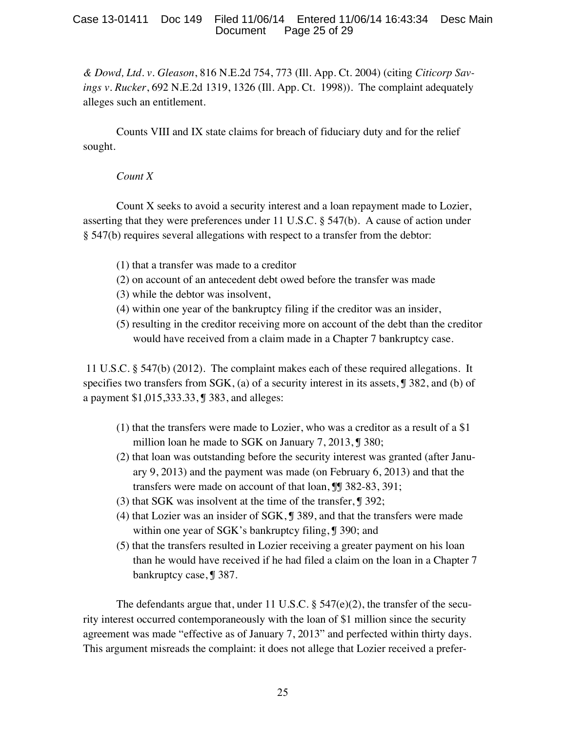### Case 13-01411 Doc 149 Filed 11/06/14 Entered 11/06/14 16:43:34 Desc Main Document Page 25 of 29

*& Dowd, Ltd. v. Gleason*, 816 N.E.2d 754, 773 (Ill. App. Ct. 2004) (citing *Citicorp Savings v. Rucker*, 692 N.E.2d 1319, 1326 (Ill. App. Ct. 1998)). The complaint adequately alleges such an entitlement.

Counts VIII and IX state claims for breach of fiduciary duty and for the relief sought.

### *Count X*

Count X seeks to avoid a security interest and a loan repayment made to Lozier, asserting that they were preferences under 11 U.S.C. § 547(b). A cause of action under § 547(b) requires several allegations with respect to a transfer from the debtor:

- (1) that a transfer was made to a creditor
- (2) on account of an antecedent debt owed before the transfer was made
- (3) while the debtor was insolvent,
- (4) within one year of the bankruptcy filing if the creditor was an insider,
- (5) resulting in the creditor receiving more on account of the debt than the creditor would have received from a claim made in a Chapter 7 bankruptcy case.

 11 U.S.C. § 547(b) (2012). The complaint makes each of these required allegations. It specifies two transfers from SGK, (a) of a security interest in its assets,  $\int$  382, and (b) of a payment \$1,015,333.33, ¶ 383, and alleges:

- (1) that the transfers were made to Lozier, who was a creditor as a result of a \$1 million loan he made to SGK on January 7, 2013, ¶ 380;
- (2) that loan was outstanding before the security interest was granted (after January 9, 2013) and the payment was made (on February 6, 2013) and that the transfers were made on account of that loan, **J** 382-83, 391;
- (3) that SGK was insolvent at the time of the transfer, ¶ 392;
- (4) that Lozier was an insider of SGK, ¶ 389, and that the transfers were made within one year of SGK's bankruptcy filing, ¶ 390; and
- (5) that the transfers resulted in Lozier receiving a greater payment on his loan than he would have received if he had filed a claim on the loan in a Chapter 7 bankruptcy case, ¶ 387.

The defendants argue that, under 11 U.S.C.  $\S$  547(e)(2), the transfer of the security interest occurred contemporaneously with the loan of \$1 million since the security agreement was made "effective as of January 7, 2013" and perfected within thirty days. This argument misreads the complaint: it does not allege that Lozier received a prefer-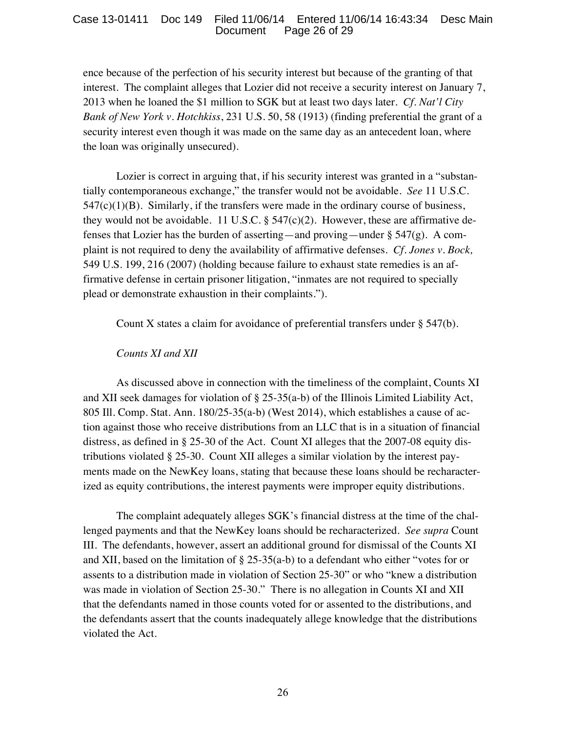ence because of the perfection of his security interest but because of the granting of that interest. The complaint alleges that Lozier did not receive a security interest on January 7, 2013 when he loaned the \$1 million to SGK but at least two days later. *Cf. Nat'l City Bank of New York v. Hotchkiss*, 231 U.S. 50, 58 (1913) (finding preferential the grant of a security interest even though it was made on the same day as an antecedent loan, where the loan was originally unsecured).

Lozier is correct in arguing that, if his security interest was granted in a "substantially contemporaneous exchange," the transfer would not be avoidable. *See* 11 U.S.C.  $547(c)(1)(B)$ . Similarly, if the transfers were made in the ordinary course of business, they would not be avoidable. 11 U.S.C.  $\S$  547(c)(2). However, these are affirmative defenses that Lozier has the burden of asserting—and proving—under § 547(g). A complaint is not required to deny the availability of affirmative defenses. *Cf. Jones v. Bock,* 549 U.S. 199, 216 (2007) (holding because failure to exhaust state remedies is an affirmative defense in certain prisoner litigation, "inmates are not required to specially plead or demonstrate exhaustion in their complaints.").

Count X states a claim for avoidance of preferential transfers under § 547(b).

### *Counts XI and XII*

As discussed above in connection with the timeliness of the complaint, Counts XI and XII seek damages for violation of  $\S 25-35(a-b)$  of the Illinois Limited Liability Act, 805 Ill. Comp. Stat. Ann. 180/25-35(a-b) (West 2014), which establishes a cause of action against those who receive distributions from an LLC that is in a situation of financial distress, as defined in § 25-30 of the Act. Count XI alleges that the 2007-08 equity distributions violated § 25-30. Count XII alleges a similar violation by the interest payments made on the NewKey loans, stating that because these loans should be recharacterized as equity contributions, the interest payments were improper equity distributions.

The complaint adequately alleges SGK's financial distress at the time of the challenged payments and that the NewKey loans should be recharacterized. *See supra* Count III. The defendants, however, assert an additional ground for dismissal of the Counts XI and XII, based on the limitation of § 25-35(a-b) to a defendant who either "votes for or assents to a distribution made in violation of Section 25-30" or who "knew a distribution was made in violation of Section 25-30." There is no allegation in Counts XI and XII that the defendants named in those counts voted for or assented to the distributions, and the defendants assert that the counts inadequately allege knowledge that the distributions violated the Act.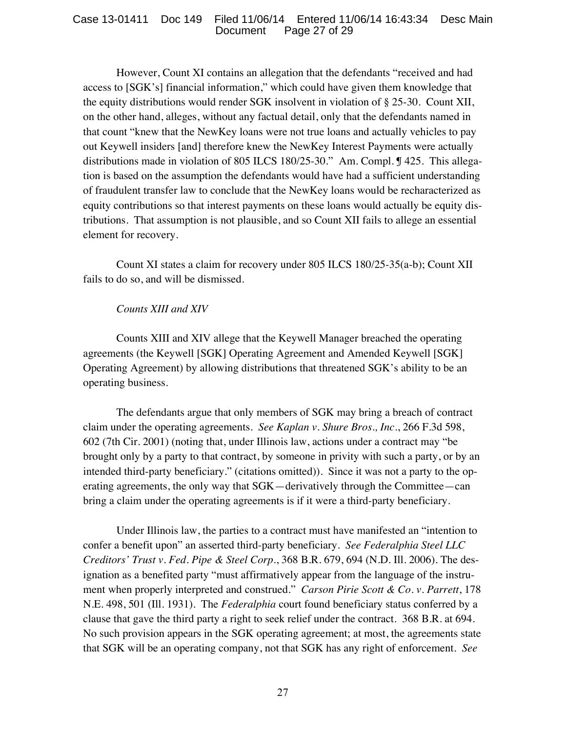However, Count XI contains an allegation that the defendants "received and had access to [SGK's] financial information," which could have given them knowledge that the equity distributions would render SGK insolvent in violation of § 25-30. Count XII, on the other hand, alleges, without any factual detail, only that the defendants named in that count "knew that the NewKey loans were not true loans and actually vehicles to pay out Keywell insiders [and] therefore knew the NewKey Interest Payments were actually distributions made in violation of 805 ILCS 180/25-30." Am. Compl. ¶ 425. This allegation is based on the assumption the defendants would have had a sufficient understanding of fraudulent transfer law to conclude that the NewKey loans would be recharacterized as equity contributions so that interest payments on these loans would actually be equity distributions. That assumption is not plausible, and so Count XII fails to allege an essential element for recovery.

Count XI states a claim for recovery under 805 ILCS 180/25-35(a-b); Count XII fails to do so, and will be dismissed.

## *Counts XIII and XIV*

Counts XIII and XIV allege that the Keywell Manager breached the operating agreements (the Keywell [SGK] Operating Agreement and Amended Keywell [SGK] Operating Agreement) by allowing distributions that threatened SGK's ability to be an operating business.

The defendants argue that only members of SGK may bring a breach of contract claim under the operating agreements. *See Kaplan v. Shure Bros., Inc.*, 266 F.3d 598, 602 (7th Cir. 2001) (noting that, under Illinois law, actions under a contract may "be brought only by a party to that contract, by someone in privity with such a party, or by an intended third-party beneficiary." (citations omitted)). Since it was not a party to the operating agreements, the only way that SGK—derivatively through the Committee—can bring a claim under the operating agreements is if it were a third-party beneficiary.

Under Illinois law, the parties to a contract must have manifested an "intention to confer a benefit upon" an asserted third-party beneficiary. *See Federalphia Steel LLC Creditors' Trust v. Fed. Pipe & Steel Corp.*, 368 B.R. 679, 694 (N.D. Ill. 2006). The designation as a benefited party "must affirmatively appear from the language of the instrument when properly interpreted and construed." *Carson Pirie Scott & Co. v. Parrett*, 178 N.E. 498, 501 (Ill. 1931). The *Federalphia* court found beneficiary status conferred by a clause that gave the third party a right to seek relief under the contract. 368 B.R. at 694. No such provision appears in the SGK operating agreement; at most, the agreements state that SGK will be an operating company, not that SGK has any right of enforcement. *See*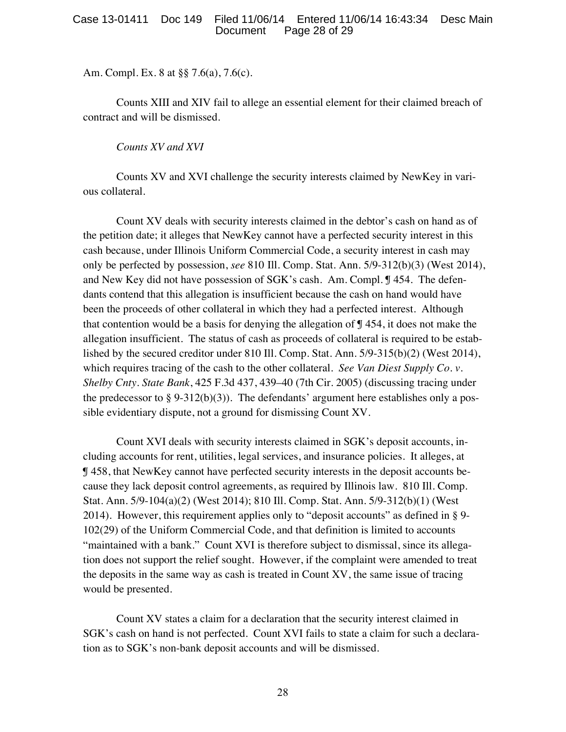### Case 13-01411 Doc 149 Filed 11/06/14 Entered 11/06/14 16:43:34 Desc Main Document Page 28 of 29

Am. Compl. Ex. 8 at §§ 7.6(a), 7.6(c).

Counts XIII and XIV fail to allege an essential element for their claimed breach of contract and will be dismissed.

*Counts XV and XVI*

Counts XV and XVI challenge the security interests claimed by NewKey in various collateral.

Count XV deals with security interests claimed in the debtor's cash on hand as of the petition date; it alleges that NewKey cannot have a perfected security interest in this cash because, under Illinois Uniform Commercial Code, a security interest in cash may only be perfected by possession, *see* 810 Ill. Comp. Stat. Ann. 5/9-312(b)(3) (West 2014), and New Key did not have possession of SGK's cash. Am. Compl. ¶ 454. The defendants contend that this allegation is insufficient because the cash on hand would have been the proceeds of other collateral in which they had a perfected interest. Although that contention would be a basis for denying the allegation of  $\int$  454, it does not make the allegation insufficient. The status of cash as proceeds of collateral is required to be established by the secured creditor under 810 Ill. Comp. Stat. Ann. 5/9-315(b)(2) (West 2014), which requires tracing of the cash to the other collateral. *See Van Diest Supply Co. v. Shelby Cnty. State Bank*, 425 F.3d 437, 439–40 (7th Cir. 2005) (discussing tracing under the predecessor to §  $9-312(b)(3)$ . The defendants' argument here establishes only a possible evidentiary dispute, not a ground for dismissing Count XV.

Count XVI deals with security interests claimed in SGK's deposit accounts, including accounts for rent, utilities, legal services, and insurance policies. It alleges, at ¶ 458, that NewKey cannot have perfected security interests in the deposit accounts because they lack deposit control agreements, as required by Illinois law. 810 Ill. Comp. Stat. Ann. 5/9-104(a)(2) (West 2014); 810 Ill. Comp. Stat. Ann. 5/9-312(b)(1) (West 2014). However, this requirement applies only to "deposit accounts" as defined in § 9- 102(29) of the Uniform Commercial Code, and that definition is limited to accounts "maintained with a bank." Count XVI is therefore subject to dismissal, since its allegation does not support the relief sought. However, if the complaint were amended to treat the deposits in the same way as cash is treated in Count XV, the same issue of tracing would be presented.

Count XV states a claim for a declaration that the security interest claimed in SGK's cash on hand is not perfected. Count XVI fails to state a claim for such a declaration as to SGK's non-bank deposit accounts and will be dismissed.